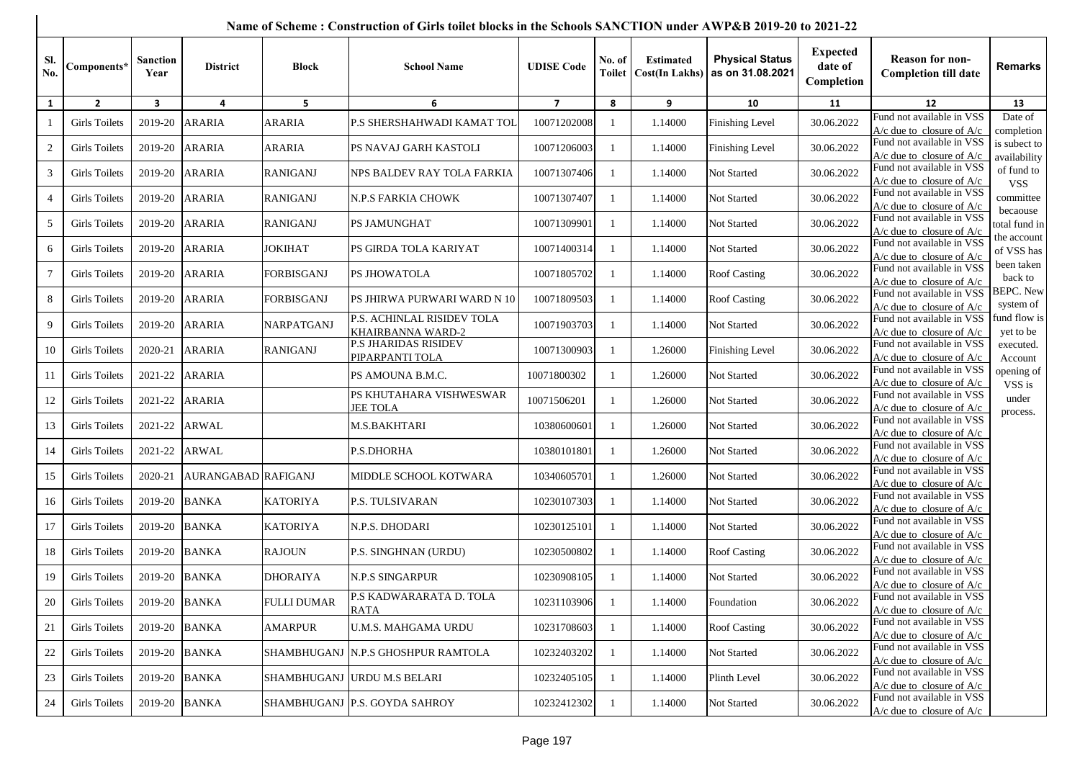|                  |                      |                         |                     |                   | Name of Scheme : Construction of Girls tollet blocks in the Schools SANCTION under AWP&B 2019-20 to 2021-22 |                   |                         |                                           |                                            |                                          |                                                                      |                               |
|------------------|----------------------|-------------------------|---------------------|-------------------|-------------------------------------------------------------------------------------------------------------|-------------------|-------------------------|-------------------------------------------|--------------------------------------------|------------------------------------------|----------------------------------------------------------------------|-------------------------------|
| Sl.<br>No.       | Components*          | <b>Sanction</b><br>Year | <b>District</b>     | <b>Block</b>      | <b>School Name</b>                                                                                          | <b>UDISE Code</b> | No. of<br><b>Toilet</b> | <b>Estimated</b><br><b>Cost(In Lakhs)</b> | <b>Physical Status</b><br>as on 31.08.2021 | <b>Expected</b><br>date of<br>Completion | <b>Reason for non-</b><br><b>Completion till date</b>                | <b>Remarks</b>                |
| $\mathbf{1}$     | $\overline{2}$       | $\mathbf{3}$            | 4                   | 5                 | 6                                                                                                           | $\overline{7}$    | 8                       | 9                                         | 10                                         | 11                                       | 12                                                                   | 13                            |
|                  | <b>Girls Toilets</b> | 2019-20                 | <b>ARARIA</b>       | <b>ARARIA</b>     | P.S SHERSHAHWADI KAMAT TOL                                                                                  | 10071202008       | $\mathbf{1}$            | 1.14000                                   | <b>Finishing Level</b>                     | 30.06.2022                               | Fund not available in VSS<br>$A/c$ due to closure of $A/c$           | Date of<br>completion         |
| $\boldsymbol{2}$ | <b>Girls Toilets</b> | 2019-20                 | <b>ARARIA</b>       | <b>ARARIA</b>     | PS NAVAJ GARH KASTOLI                                                                                       | 10071206003       | $\mathbf{1}$            | 1.14000                                   | <b>Finishing Level</b>                     | 30.06.2022                               | Fund not available in VSS<br>$A/c$ due to closure of $A/c$           | is subect to<br>availability  |
| 3                | <b>Girls Toilets</b> | 2019-20                 | <b>ARARIA</b>       | <b>RANIGANJ</b>   | NPS BALDEV RAY TOLA FARKIA                                                                                  | 10071307406       | -1                      | 1.14000                                   | Not Started                                | 30.06.2022                               | Fund not available in VSS<br>$A/c$ due to closure of $A/c$           | of fund to<br><b>VSS</b>      |
| 4                | <b>Girls Toilets</b> | 2019-20                 | <b>ARARIA</b>       | <b>RANIGANJ</b>   | <b>N.P.S FARKIA CHOWK</b>                                                                                   | 10071307407       | -1                      | 1.14000                                   | Not Started                                | 30.06.2022                               | Fund not available in VSS<br>$A/c$ due to closure of $A/c$           | committee                     |
| 5                | <b>Girls Toilets</b> | 2019-20                 | <b>ARARIA</b>       | <b>RANIGANJ</b>   | PS JAMUNGHAT                                                                                                | 10071309901       |                         | 1.14000                                   | Not Started                                | 30.06.2022                               | Fund not available in VSS<br>A/c due to closure of A/c               | becaouse<br>total fund in     |
| 6                | <b>Girls Toilets</b> | 2019-20                 | <b>ARARIA</b>       | <b>JOKIHAT</b>    | PS GIRDA TOLA KARIYAT                                                                                       | 10071400314       | $\mathbf{1}$            | 1.14000                                   | Not Started                                | 30.06.2022                               | Fund not available in VSS<br>A/c due to closure of $A/c$             | the account<br>of VSS has     |
| 7                | <b>Girls Toilets</b> | 2019-20                 | <b>ARARIA</b>       | FORBISGANJ        | PS JHOWATOLA                                                                                                | 10071805702       | $\mathbf{1}$            | 1.14000                                   | <b>Roof Casting</b>                        | 30.06.2022                               | Fund not available in VSS<br>$A/c$ due to closure of $A/c$           | been taken<br>back to         |
| 8                | <b>Girls Toilets</b> | 2019-20                 | <b>ARARIA</b>       | <b>FORBISGANJ</b> | PS JHIRWA PURWARI WARD N 10                                                                                 | 10071809503       | $\mathbf{1}$            | 1.14000                                   | <b>Roof Casting</b>                        | 30.06.2022                               | Fund not available in VSS<br>$A/c$ due to closure of $A/c$           | <b>BEPC.</b> New<br>system of |
| 9                | <b>Girls Toilets</b> | 2019-20                 | <b>ARARIA</b>       | NARPATGANJ        | P.S. ACHINLAL RISIDEV TOLA<br>KHAIRBANNA WARD-2                                                             | 10071903703       | $\mathbf{1}$            | 1.14000                                   | Not Started                                | 30.06.2022                               | Fund not available in VSS<br>$A/c$ due to closure of $A/c$           | fund flow is<br>yet to be     |
| 10               | <b>Girls Toilets</b> | 2020-21                 | <b>ARARIA</b>       | <b>RANIGANJ</b>   | <b>P.S JHARIDAS RISIDEV</b><br>PIPARPANTI TOLA                                                              | 10071300903       | -1                      | 1.26000                                   | Finishing Level                            | 30.06.2022                               | Fund not available in VSS<br>$A/c$ due to closure of $A/c$           | executed.<br>Account          |
| 11               | <b>Girls Toilets</b> | 2021-22                 | <b>ARARIA</b>       |                   | PS AMOUNA B.M.C.                                                                                            | 10071800302       | 1                       | 1.26000                                   | Not Started                                | 30.06.2022                               | Fund not available in VSS<br>A/c due to closure of A/c               | opening of<br>VSS is          |
| 12               | <b>Girls Toilets</b> | 2021-22                 | <b>ARARIA</b>       |                   | PS KHUTAHARA VISHWESWAR<br><b>JEE TOLA</b>                                                                  | 10071506201       | $\mathbf{1}$            | 1.26000                                   | Not Started                                | 30.06.2022                               | Fund not available in VSS<br>A/c due to closure of A/c               | under<br>process.             |
| 13               | <b>Girls Toilets</b> | 2021-22                 | <b>ARWAL</b>        |                   | M.S.BAKHTARI                                                                                                | 10380600601       | $\mathbf{1}$            | 1.26000                                   | Not Started                                | 30.06.2022                               | Fund not available in VSS<br>$A/c$ due to closure of $A/c$           |                               |
| 14               | <b>Girls Toilets</b> | 2021-22                 | <b>ARWAL</b>        |                   | P.S.DHORHA                                                                                                  | 10380101801       | -1                      | 1.26000                                   | Not Started                                | 30.06.2022                               | Fund not available in VSS<br>$A/c$ due to closure of $A/c$           |                               |
| 15               | <b>Girls Toilets</b> | 2020-21                 | AURANGABAD RAFIGANJ |                   | MIDDLE SCHOOL KOTWARA                                                                                       | 10340605701       | $\mathbf{1}$            | 1.26000                                   | Not Started                                | 30.06.2022                               | Fund not available in VSS<br>$A/c$ due to closure of $A/c$           |                               |
| 16               | Girls Toilets        | 2019-20                 | <b>BANKA</b>        | <b>KATORIYA</b>   | <b>P.S. TULSIVARAN</b>                                                                                      | 10230107303       | $\mathbf{1}$            | 1.14000                                   | Not Started                                | 30.06.2022                               | Fund not available in VSS<br>$A/c$ due to closure of $A/c$           |                               |
| 17               | <b>Girls Toilets</b> | 2019-20                 | <b>BANKA</b>        | <b>KATORIYA</b>   | N.P.S. DHODARI                                                                                              | 10230125101       | -1                      | 1.14000                                   | Not Started                                | 30.06.2022                               | Fund not available in VSS<br>$A/c$ due to closure of $A/c$           |                               |
| 18               | <b>Girls Toilets</b> | 2019-20                 | <b>BANKA</b>        | <b>RAJOUN</b>     | P.S. SINGHNAN (URDU)                                                                                        | 10230500802       | $\mathbf{1}$            | 1.14000                                   | <b>Roof Casting</b>                        | 30.06.2022                               | Fund not available in VSS<br>A/c due to closure of $A/c$             |                               |
| 19               | <b>Girls Toilets</b> | 2019-20                 | <b>BANKA</b>        | <b>DHORAIYA</b>   | <b>N.P.S SINGARPUR</b>                                                                                      | 10230908105       | $\mathbf{1}$            | 1.14000                                   | Not Started                                | 30.06.2022                               | Fund not available in VSS<br>$A/c$ due to closure of $A/c$           |                               |
| 20               | <b>Girls Toilets</b> | 2019-20                 | <b>BANKA</b>        | FULLI DUMAR       | P.S KADWARARATA D. TOLA<br><b>RATA</b>                                                                      | 10231103906       | $\mathbf{1}$            | 1.14000                                   | Foundation                                 | 30.06.2022                               | Fund not available in VSS<br>$A/c$ due to closure of $A/c$           |                               |
| 21               | <b>Girls Toilets</b> | 2019-20                 | <b>BANKA</b>        | <b>AMARPUR</b>    | <b>U.M.S. MAHGAMA URDU</b>                                                                                  | 10231708603       | -1                      | 1.14000                                   | <b>Roof Casting</b>                        | 30.06.2022                               | Fund not available in VSS<br>$A/c$ due to closure of $A/c$           |                               |
| 22               | <b>Girls Toilets</b> | 2019-20                 | <b>BANKA</b>        |                   | SHAMBHUGANJ  N.P.S GHOSHPUR RAMTOLA                                                                         | 10232403202       |                         | 1.14000                                   | Not Started                                | 30.06.2022                               | Fund not available in VSS<br>$A/c$ due to closure of $A/c$           |                               |
| 23               | Girls Toilets        | 2019-20                 | <b>BANKA</b>        |                   | SHAMBHUGANJ  URDU M.S BELARI                                                                                | 10232405105       |                         | 1.14000                                   | Plinth Level                               | 30.06.2022                               | Fund not available in VSS<br>$\Delta/c$ due to closure of $\Delta/c$ |                               |

## **Name of Scheme : Construction of Girls toilet blocks in the Schools SANCTION under AWP&B 2019-20 to 2021-22**

24 Girls Toilets 2019-20 BANKA SHAMBHUGANJ P.S. GOYDA SAHROY 10232412302 1 1.14000 Not Started 30.06.2022

Fund not available in VSS

A/c due to closure of A/c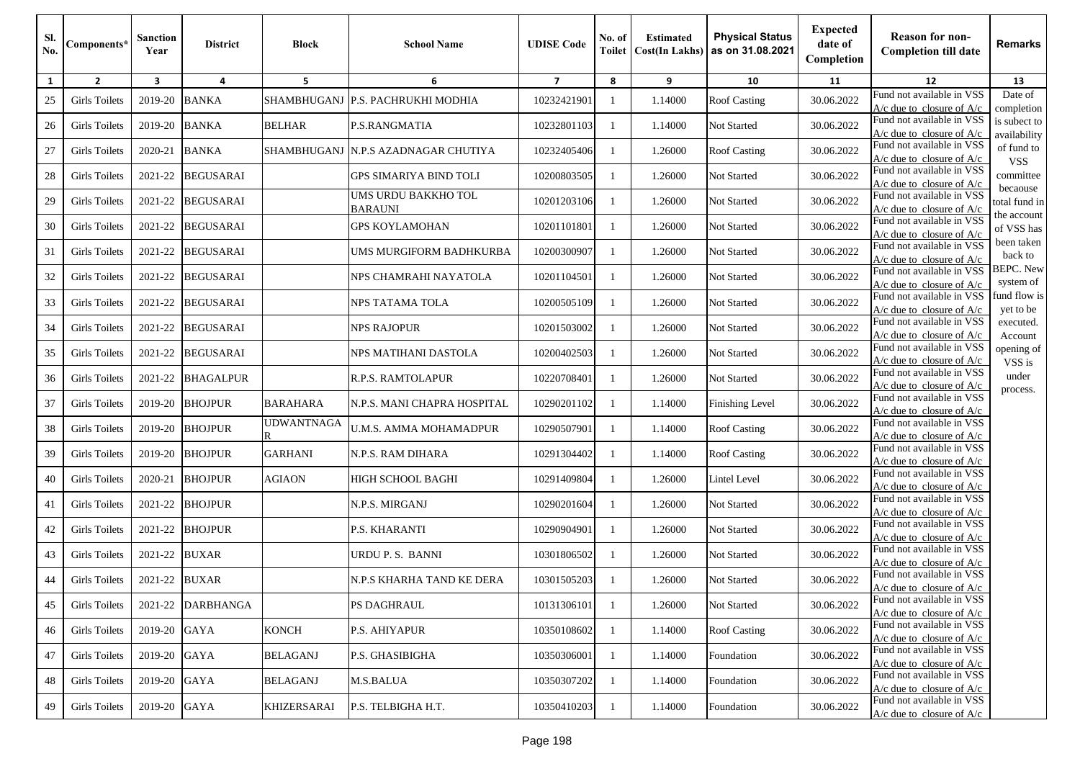| SI.<br>No. | Components*          | Sanction<br>Year | <b>District</b>  | <b>Block</b>       | <b>School Name</b>                    | <b>UDISE</b> Code | No. of<br>Toilet | <b>Estimated</b><br><b>Cost(In Lakhs)</b> | <b>Physical Status</b><br>as on 31.08.2021 | <b>Expected</b><br>date of<br>Completion | <b>Reason for non-</b><br><b>Completion till date</b>      | <b>Remarks</b>                |
|------------|----------------------|------------------|------------------|--------------------|---------------------------------------|-------------------|------------------|-------------------------------------------|--------------------------------------------|------------------------------------------|------------------------------------------------------------|-------------------------------|
| 1          | $\overline{2}$       | 3                | 4                | 5                  | 6                                     | $\overline{7}$    | 8                | 9                                         | 10                                         | 11                                       | 12                                                         | 13                            |
| 25         | Girls Toilets        | 2019-20          | <b>BANKA</b>     |                    | SHAMBHUGANJ P.S. PACHRUKHI MODHIA     | 10232421901       | -1               | 1.14000                                   | <b>Roof Casting</b>                        | 30.06.2022                               | Fund not available in VSS<br>$A/c$ due to closure of $A/c$ | Date of<br>completion         |
| 26         | Girls Toilets        | 2019-20          | <b>BANKA</b>     | <b>BELHAR</b>      | P.S.RANGMATIA                         | 10232801103       | -1               | 1.14000                                   | Not Started                                | 30.06.2022                               | Fund not available in VSS<br>$A/c$ due to closure of $A/c$ | is subect to<br>availability  |
| 27         | <b>Girls Toilets</b> | 2020-21          | <b>BANKA</b>     | SHAMBHUGANJ        | N.P.S AZADNAGAR CHUTIYA               | 10232405406       | -1               | 1.26000                                   | <b>Roof Casting</b>                        | 30.06.2022                               | Fund not available in VSS<br>$A/c$ due to closure of $A/c$ | of fund to<br><b>VSS</b>      |
| 28         | <b>Girls Toilets</b> | 2021-22          | <b>BEGUSARAI</b> |                    | <b>GPS SIMARIYA BIND TOLI</b>         | 10200803505       | 1                | 1.26000                                   | Not Started                                | 30.06.2022                               | Fund not available in VSS<br>$A/c$ due to closure of $A/c$ | committee                     |
| 29         | <b>Girls Toilets</b> | 2021-22          | <b>BEGUSARAI</b> |                    | UMS URDU BAKKHO TOL<br><b>BARAUNI</b> | 10201203106       | -1               | 1.26000                                   | Not Started                                | 30.06.2022                               | Fund not available in VSS<br>A/c due to closure of A/c     | becaouse<br>total fund in     |
| 30         | <b>Girls Toilets</b> | 2021-22          | <b>BEGUSARAI</b> |                    | <b>GPS KOYLAMOHAN</b>                 | 10201101801       | $\mathbf{1}$     | 1.26000                                   | Not Started                                | 30.06.2022                               | Fund not available in VSS<br>$A/c$ due to closure of $A/c$ | the account<br>of VSS has     |
| 31         | <b>Girls Toilets</b> | 2021-22          | <b>BEGUSARAI</b> |                    | UMS MURGIFORM BADHKURBA               | 10200300907       | -1               | 1.26000                                   | Not Started                                | 30.06.2022                               | Fund not available in VSS<br>$A/c$ due to closure of $A/c$ | been taken<br>back to         |
| 32         | <b>Girls Toilets</b> | 2021-22          | <b>BEGUSARAI</b> |                    | NPS CHAMRAHI NAYATOLA                 | 10201104501       | -1               | 1.26000                                   | Not Started                                | 30.06.2022                               | Fund not available in VSS<br>$A/c$ due to closure of $A/c$ | <b>BEPC.</b> New<br>system of |
| 33         | Girls Toilets        | 2021-22          | <b>BEGUSARAI</b> |                    | NPS TATAMA TOLA                       | 10200505109       | -1               | 1.26000                                   | Not Started                                | 30.06.2022                               | Fund not available in VSS<br>A/c due to closure of A/c     | fund flow is<br>yet to be     |
| 34         | Girls Toilets        | 2021-22          | <b>BEGUSARAI</b> |                    | NPS RAJOPUR                           | 10201503002       | -1               | 1.26000                                   | Not Started                                | 30.06.2022                               | Fund not available in VSS<br>$A/c$ due to closure of $A/c$ | executed.<br>Account          |
| 35         | Girls Toilets        | 2021-22          | <b>BEGUSARAI</b> |                    | NPS MATIHANI DASTOLA                  | 10200402503       | -1               | 1.26000                                   | Not Started                                | 30.06.2022                               | Fund not available in VSS<br>$A/c$ due to closure of $A/c$ | opening of<br>VSS is          |
| 36         | <b>Girls Toilets</b> | 2021-22          | <b>BHAGALPUR</b> |                    | R.P.S. RAMTOLAPUR                     | 10220708401       | -1               | 1.26000                                   | Not Started                                | 30.06.2022                               | Fund not available in VSS<br>$A/c$ due to closure of $A/c$ | under                         |
| 37         | <b>Girls Toilets</b> | 2019-20          | <b>BHOJPUR</b>   | <b>BARAHARA</b>    | N.P.S. MANI CHAPRA HOSPITAL           | 10290201102       | -1               | 1.14000                                   | <b>Finishing Level</b>                     | 30.06.2022                               | Fund not available in VSS<br>A/c due to closure of $A/c$   | process.                      |
| 38         | <b>Girls Toilets</b> | 2019-20          | <b>BHOJPUR</b>   | <b>UDWANTNAGA</b>  | U.M.S. AMMA MOHAMADPUR                | 10290507901       | -1               | 1.14000                                   | <b>Roof Casting</b>                        | 30.06.2022                               | Fund not available in VSS<br>$A/c$ due to closure of $A/c$ |                               |
| 39         | <b>Girls Toilets</b> | 2019-20          | <b>BHOJPUR</b>   | <b>GARHANI</b>     | N.P.S. RAM DIHARA                     | 10291304402       | -1               | 1.14000                                   | <b>Roof Casting</b>                        | 30.06.2022                               | Fund not available in VSS<br>$A/c$ due to closure of $A/c$ |                               |
| 40         | <b>Girls Toilets</b> | 2020-21          | <b>BHOJPUR</b>   | AGIAON             | HIGH SCHOOL BAGHI                     | 10291409804       | -1               | 1.26000                                   | Lintel Level                               | 30.06.2022                               | Fund not available in VSS<br>$A/c$ due to closure of $A/c$ |                               |
| 41         | <b>Girls Toilets</b> | 2021-22          | <b>BHOJPUR</b>   |                    | N.P.S. MIRGANJ                        | 10290201604       | -1               | 1.26000                                   | Not Started                                | 30.06.2022                               | Fund not available in VSS<br>$A/c$ due to closure of $A/c$ |                               |
| 42         | Girls Toilets        | 2021-22          | <b>BHOJPUR</b>   |                    | P.S. KHARANTI                         | 10290904901       | $\mathbf{1}$     | 1.26000                                   | Not Started                                | 30.06.2022                               | Fund not available in VSS<br>$A/c$ due to closure of $A/c$ |                               |
| 43         | <b>Girls Toilets</b> | 2021-22          | <b>BUXAR</b>     |                    | URDU P. S. BANNI                      | 10301806502       | -1               | 1.26000                                   | Not Started                                | 30.06.2022                               | Fund not available in VSS<br>$A/c$ due to closure of $A/c$ |                               |
| 44         | Girls Toilets        | 2021-22          | <b>BUXAR</b>     |                    | N.P.S KHARHA TAND KE DERA             | 10301505203       |                  | 1.26000                                   | Not Started                                | 30.06.2022                               | Fund not available in VSS<br>$A/c$ due to closure of $A/c$ |                               |
| 45         | <b>Girls Toilets</b> | 2021-22          | <b>DARBHANGA</b> |                    | PS DAGHRAUL                           | 10131306101       | 1                | 1.26000                                   | Not Started                                | 30.06.2022                               | Fund not available in VSS<br>$A/c$ due to closure of $A/c$ |                               |
| 46         | Girls Toilets        | 2019-20          | <b>GAYA</b>      | <b>KONCH</b>       | P.S. AHIYAPUR                         | 10350108602       | 1                | 1.14000                                   | <b>Roof Casting</b>                        | 30.06.2022                               | Fund not available in VSS<br>$A/c$ due to closure of $A/c$ |                               |
| 47         | <b>Girls Toilets</b> | 2019-20          | <b>GAYA</b>      | <b>BELAGANJ</b>    | P.S. GHASIBIGHA                       | 10350306001       | -1               | 1.14000                                   | Foundation                                 | 30.06.2022                               | Fund not available in VSS<br>$A/c$ due to closure of $A/c$ |                               |
| 48         | <b>Girls Toilets</b> | 2019-20          | <b>GAYA</b>      | <b>BELAGANJ</b>    | M.S.BALUA                             | 10350307202       | -1               | 1.14000                                   | Foundation                                 | 30.06.2022                               | Fund not available in VSS<br>A/c due to closure of $A/c$   |                               |
| 49         | <b>Girls Toilets</b> | 2019-20          | <b>GAYA</b>      | <b>KHIZERSARAI</b> | P.S. TELBIGHA H.T.                    | 10350410203       | 1                | 1.14000                                   | Foundation                                 | 30.06.2022                               | Fund not available in VSS<br>$A/c$ due to closure of $A/c$ |                               |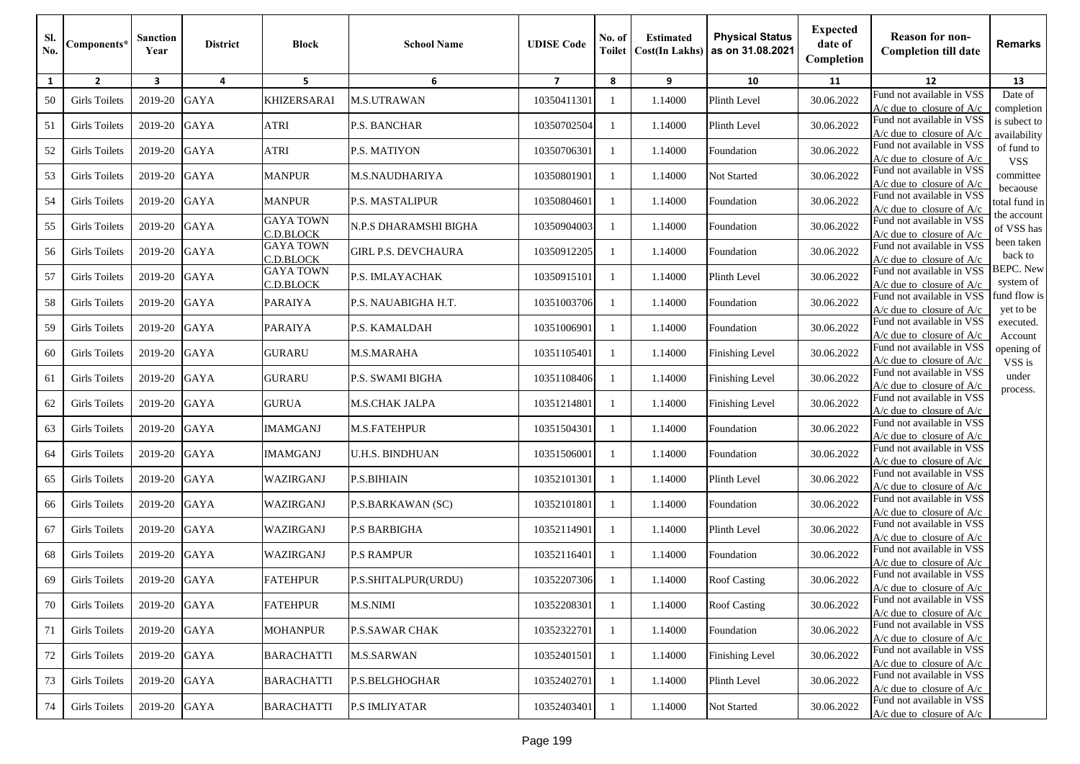| SI.<br>No. | Components*          | Sanction<br>Year | <b>District</b> | <b>Block</b>                  | <b>School Name</b>         | <b>UDISE</b> Code | No. of<br>Toilet | <b>Estimated</b><br><b>Cost(In Lakhs)</b> | <b>Physical Status</b><br>as on 31.08.2021 | <b>Expected</b><br>date of<br>Completion | <b>Reason for non-</b><br><b>Completion till date</b>      | <b>Remarks</b>                |
|------------|----------------------|------------------|-----------------|-------------------------------|----------------------------|-------------------|------------------|-------------------------------------------|--------------------------------------------|------------------------------------------|------------------------------------------------------------|-------------------------------|
| 1          | $\overline{2}$       | 3                | 4               | 5                             | 6                          | $\overline{7}$    | 8                | 9                                         | 10                                         | 11                                       | 12                                                         | 13                            |
| 50         | <b>Girls Toilets</b> | 2019-20          | <b>GAYA</b>     | <b>KHIZERSARAI</b>            | M.S.UTRAWAN                | 10350411301       | -1               | 1.14000                                   | Plinth Level                               | 30.06.2022                               | Fund not available in VSS<br>$A/c$ due to closure of $A/c$ | Date of<br>completion         |
| 51         | Girls Toilets        | 2019-20          | <b>GAYA</b>     | <b>ATRI</b>                   | P.S. BANCHAR               | 10350702504       | -1               | 1.14000                                   | Plinth Level                               | 30.06.2022                               | Fund not available in VSS<br>$A/c$ due to closure of $A/c$ | is subect to<br>availability  |
| 52         | <b>Girls Toilets</b> | 2019-20          | <b>GAYA</b>     | <b>ATRI</b>                   | <b>P.S. MATIYON</b>        | 10350706301       | $\mathbf{1}$     | 1.14000                                   | Foundation                                 | 30.06.2022                               | Fund not available in VSS<br>$A/c$ due to closure of $A/c$ | of fund to<br><b>VSS</b>      |
| 53         | <b>Girls Toilets</b> | 2019-20          | <b>GAYA</b>     | <b>MANPUR</b>                 | M.S.NAUDHARIYA             | 10350801901       | 1                | 1.14000                                   | Not Started                                | 30.06.2022                               | Fund not available in VSS<br>$A/c$ due to closure of $A/c$ | committee                     |
| 54         | <b>Girls Toilets</b> | 2019-20          | <b>GAYA</b>     | <b>MANPUR</b>                 | P.S. MASTALIPUR            | 10350804601       | -1               | 1.14000                                   | Foundation                                 | 30.06.2022                               | Fund not available in VSS<br>$A/c$ due to closure of $A/c$ | becaouse<br>total fund in     |
| 55         | <b>Girls Toilets</b> | 2019-20          | <b>GAYA</b>     | <b>GAYA TOWN</b><br>C.D.BLOCK | N.P.S DHARAMSHI BIGHA      | 10350904003       | $\mathbf{1}$     | 1.14000                                   | Foundation                                 | 30.06.2022                               | Fund not available in VSS<br>$A/c$ due to closure of $A/c$ | the account<br>of VSS has     |
| 56         | <b>Girls Toilets</b> | 2019-20          | <b>GAYA</b>     | <b>GAYA TOWN</b><br>C.D.BLOCK | <b>GIRL P.S. DEVCHAURA</b> | 10350912205       | -1               | 1.14000                                   | Foundation                                 | 30.06.2022                               | Fund not available in VSS<br>$A/c$ due to closure of $A/c$ | been taken<br>back to         |
| 57         | <b>Girls Toilets</b> | 2019-20          | <b>GAYA</b>     | <b>GAYA TOWN</b><br>C.D.BLOCK | P.S. IMLAYACHAK            | 10350915101       | -1               | 1.14000                                   | Plinth Level                               | 30.06.2022                               | Fund not available in VSS<br>$A/c$ due to closure of $A/c$ | <b>BEPC.</b> New<br>system of |
| 58         | Girls Toilets        | 2019-20          | <b>GAYA</b>     | <b>PARAIYA</b>                | P.S. NAUABIGHA H.T.        | 10351003706       | -1               | 1.14000                                   | Foundation                                 | 30.06.2022                               | Fund not available in VSS<br>A/c due to closure of A/c     | fund flow is<br>yet to be     |
| 59         | <b>Girls Toilets</b> | 2019-20          | <b>GAYA</b>     | <b>PARAIYA</b>                | P.S. KAMALDAH              | 10351006901       |                  | 1.14000                                   | Foundation                                 | 30.06.2022                               | Fund not available in VSS<br>$A/c$ due to closure of $A/c$ | executed.<br>Account          |
| 60         | Girls Toilets        | 2019-20          | <b>GAYA</b>     | <b>GURARU</b>                 | <b>M.S.MARAHA</b>          | 10351105401       | -1               | 1.14000                                   | Finishing Level                            | 30.06.2022                               | Fund not available in VSS<br>$A/c$ due to closure of $A/c$ | opening of<br>VSS is          |
| 61         | <b>Girls Toilets</b> | 2019-20          | <b>GAYA</b>     | <b>GURARU</b>                 | P.S. SWAMI BIGHA           | 10351108406       | -1               | 1.14000                                   | <b>Finishing Level</b>                     | 30.06.2022                               | Fund not available in VSS<br>$A/c$ due to closure of $A/c$ | under<br>process.             |
| 62         | <b>Girls Toilets</b> | 2019-20          | <b>GAYA</b>     | <b>GURUA</b>                  | M.S.CHAK JALPA             | 10351214801       | -1               | 1.14000                                   | <b>Finishing Level</b>                     | 30.06.2022                               | Fund not available in VSS<br>A/c due to closure of $A/c$   |                               |
| 63         | <b>Girls Toilets</b> | 2019-20          | <b>GAYA</b>     | <b>IMAMGANJ</b>               | <b>M.S.FATEHPUR</b>        | 10351504301       | -1               | 1.14000                                   | Foundation                                 | 30.06.2022                               | Fund not available in VSS<br>$A/c$ due to closure of $A/c$ |                               |
| 64         | <b>Girls Toilets</b> | 2019-20          | <b>GAYA</b>     | <b>IMAMGANJ</b>               | U.H.S. BINDHUAN            | 10351506001       | -1               | 1.14000                                   | Foundation                                 | 30.06.2022                               | Fund not available in VSS<br>$A/c$ due to closure of $A/c$ |                               |
| 65         | <b>Girls Toilets</b> | 2019-20          | <b>GAYA</b>     | WAZIRGANJ                     | P.S.BIHIAIN                | 10352101301       | -1               | 1.14000                                   | Plinth Level                               | 30.06.2022                               | Fund not available in VSS<br>$A/c$ due to closure of $A/c$ |                               |
| 66         | <b>Girls Toilets</b> | 2019-20          | <b>GAYA</b>     | WAZIRGANJ                     | P.S.BARKAWAN (SC)          | 10352101801       | -1               | 1.14000                                   | Foundation                                 | 30.06.2022                               | Fund not available in VSS<br>$A/c$ due to closure of $A/c$ |                               |
| 67         | <b>Girls Toilets</b> | 2019-20          | <b>GAYA</b>     | WAZIRGANJ                     | <b>P.S BARBIGHA</b>        | 10352114901       | 1                | 1.14000                                   | Plinth Level                               | 30.06.2022                               | Fund not available in VSS<br>$A/c$ due to closure of $A/c$ |                               |
| 68         | <b>Girls Toilets</b> | 2019-20          | <b>GAYA</b>     | WAZIRGANJ                     | <b>P.S RAMPUR</b>          | 10352116401       | -1               | 1.14000                                   | Foundation                                 | 30.06.2022                               | Fund not available in VSS<br>$A/c$ due to closure of $A/c$ |                               |
| 69         | <b>Girls Toilets</b> | 2019-20          | <b>GAYA</b>     | <b>FATEHPUR</b>               | P.S.SHITALPUR(URDU)        | 10352207306       |                  | 1.14000                                   | <b>Roof Casting</b>                        | 30.06.2022                               | Fund not available in VSS<br>$A/c$ due to closure of $A/c$ |                               |
| 70         | <b>Girls Toilets</b> | 2019-20          | GAYA            | <b>FATEHPUR</b>               | <b>M.S.NIMI</b>            | 10352208301       | $\mathbf{1}$     | 1.14000                                   | <b>Roof Casting</b>                        | 30.06.2022                               | Fund not available in VSS<br>$A/c$ due to closure of $A/c$ |                               |
| 71         | Girls Toilets        | 2019-20          | <b>GAYA</b>     | <b>MOHANPUR</b>               | <b>P.S.SAWAR CHAK</b>      | 10352322701       | 1                | 1.14000                                   | Foundation                                 | 30.06.2022                               | Fund not available in VSS<br>$A/c$ due to closure of $A/c$ |                               |
| 72         | <b>Girls Toilets</b> | 2019-20          | <b>GAYA</b>     | <b>BARACHATTI</b>             | <b>M.S.SARWAN</b>          | 10352401501       | -1               | 1.14000                                   | Finishing Level                            | 30.06.2022                               | Fund not available in VSS<br>$A/c$ due to closure of $A/c$ |                               |
| 73         | <b>Girls Toilets</b> | 2019-20          | <b>GAYA</b>     | <b>BARACHATTI</b>             | P.S.BELGHOGHAR             | 10352402701       | -1               | 1.14000                                   | Plinth Level                               | 30.06.2022                               | Fund not available in VSS<br>$A/c$ due to closure of $A/c$ |                               |
| 74         | <b>Girls Toilets</b> | 2019-20          | GAYA            | <b>BARACHATTI</b>             | <b>P.S IMLIYATAR</b>       | 10352403401       | 1                | 1.14000                                   | Not Started                                | 30.06.2022                               | Fund not available in VSS<br>$A/c$ due to closure of $A/c$ |                               |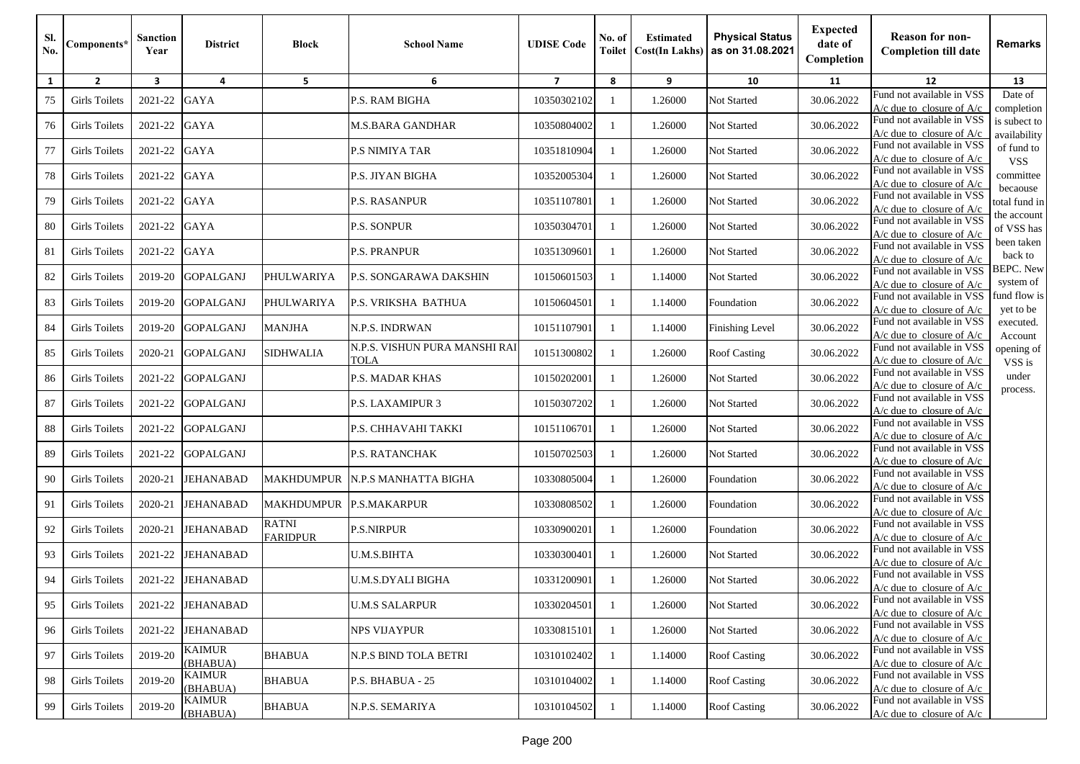| SI.<br>No. | Components*          | Sanction<br>Year        | <b>District</b>           | <b>Block</b>                    | <b>School Name</b>                    | <b>UDISE Code</b>       | No. of<br>Toilet | <b>Estimated</b><br><b>Cost(In Lakhs)</b> | <b>Physical Status</b><br>as on 31.08.2021 | <b>Expected</b><br>date of<br>Completion | <b>Reason for non-</b><br><b>Completion till date</b>      | Remarks                       |
|------------|----------------------|-------------------------|---------------------------|---------------------------------|---------------------------------------|-------------------------|------------------|-------------------------------------------|--------------------------------------------|------------------------------------------|------------------------------------------------------------|-------------------------------|
| 1          | $\overline{2}$       | $\overline{\mathbf{3}}$ | 4                         | 5                               | 6                                     | $\overline{\mathbf{z}}$ | 8                | 9                                         | 10                                         | 11                                       | 12                                                         | 13                            |
| 75         | <b>Girls Toilets</b> | 2021-22                 | <b>GAYA</b>               |                                 | P.S. RAM BIGHA                        | 10350302102             |                  | 1.26000                                   | Not Started                                | 30.06.2022                               | Fund not available in VSS<br>A/c due to closure of A/c     | Date of<br>completion         |
| 76         | Girls Toilets        | 2021-22                 | <b>GAYA</b>               |                                 | M.S.BARA GANDHAR                      | 10350804002             |                  | 1.26000                                   | Not Started                                | 30.06.2022                               | Fund not available in VSS<br>$A/c$ due to closure of $A/c$ | is subect to<br>availability  |
| 77         | <b>Girls Toilets</b> | 2021-22                 | <b>GAYA</b>               |                                 | <b>P.S NIMIYA TAR</b>                 | 10351810904             | -1               | 1.26000                                   | Not Started                                | 30.06.2022                               | Fund not available in VSS<br>$A/c$ due to closure of $A/c$ | of fund to<br><b>VSS</b>      |
| 78         | Girls Toilets        | 2021-22                 | <b>GAYA</b>               |                                 | P.S. JIYAN BIGHA                      | 10352005304             |                  | 1.26000                                   | <b>Not Started</b>                         | 30.06.2022                               | Fund not available in VSS<br>$A/c$ due to closure of $A/c$ | committee                     |
| 79         | <b>Girls Toilets</b> | 2021-22                 | <b>GAYA</b>               |                                 | <b>P.S. RASANPUR</b>                  | 10351107801             |                  | 1.26000                                   | Not Started                                | 30.06.2022                               | Fund not available in VSS<br>$A/c$ due to closure of $A/c$ | becaouse<br>total fund in     |
| 80         | <b>Girls Toilets</b> | 2021-22                 | <b>GAYA</b>               |                                 | <b>P.S. SONPUR</b>                    | 10350304701             |                  | 1.26000                                   | Not Started                                | 30.06.2022                               | Fund not available in VSS<br>$A/c$ due to closure of $A/c$ | the account<br>of VSS has     |
| 81         | <b>Girls Toilets</b> | 2021-22                 | <b>GAYA</b>               |                                 | <b>P.S. PRANPUR</b>                   | 10351309601             |                  | 1.26000                                   | Not Started                                | 30.06.2022                               | Fund not available in VSS<br>$A/c$ due to closure of $A/c$ | been taken<br>back to         |
| 82         | <b>Girls Toilets</b> | 2019-20                 | <b>GOPALGANJ</b>          | PHULWARIYA                      | <b>P.S. SONGARAWA DAKSHIN</b>         | 10150601503             |                  | 1.14000                                   | Not Started                                | 30.06.2022                               | Fund not available in VSS<br>$A/c$ due to closure of $A/c$ | <b>BEPC.</b> New<br>system of |
| 83         | <b>Girls Toilets</b> | 2019-20                 | <b>GOPALGANJ</b>          | PHULWARIYA                      | P.S. VRIKSHA BATHUA                   | 10150604501             |                  | 1.14000                                   | Foundation                                 | 30.06.2022                               | Fund not available in VSS<br>$A/c$ due to closure of $A/c$ | fund flow is<br>yet to be     |
| 84         | Girls Toilets        | 2019-20                 | <b>GOPALGANJ</b>          | <b>MANJHA</b>                   | N.P.S. INDRWAN                        | 10151107901             |                  | 1.14000                                   | Finishing Level                            | 30.06.2022                               | Fund not available in VSS<br>$A/c$ due to closure of $A/c$ | executed.<br>Account          |
| 85         | <b>Girls Toilets</b> | 2020-21                 | <b>GOPALGANJ</b>          | SIDHWALIA                       | N.P.S. VISHUN PURA MANSHI RAI<br>TOLA | 10151300802             |                  | 1.26000                                   | <b>Roof Casting</b>                        | 30.06.2022                               | Fund not available in VSS<br>$A/c$ due to closure of $A/c$ | opening of<br>VSS is          |
| 86         | Girls Toilets        | 2021-22                 | <b>GOPALGANJ</b>          |                                 | <b>P.S. MADAR KHAS</b>                | 10150202001             |                  | 1.26000                                   | Not Started                                | 30.06.2022                               | Fund not available in VSS<br>$A/c$ due to closure of $A/c$ | under<br>process.             |
| 87         | Girls Toilets        | 2021-22                 | <b>GOPALGANJ</b>          |                                 | <b>P.S. LAXAMIPUR 3</b>               | 10150307202             |                  | 1.26000                                   | Not Started                                | 30.06.2022                               | Fund not available in VSS<br>$A/c$ due to closure of $A/c$ |                               |
| 88         | Girls Toilets        | 2021-22                 | <b>GOPALGANJ</b>          |                                 | P.S. CHHAVAHI TAKKI                   | 1015110670              | -1               | 1.26000                                   | Not Started                                | 30.06.2022                               | Fund not available in VSS<br>$A/c$ due to closure of $A/c$ |                               |
| 89         | <b>Girls Toilets</b> | 2021-22                 | <b>GOPALGANJ</b>          |                                 | <b>P.S. RATANCHAK</b>                 | 10150702503             |                  | 1.26000                                   | Not Started                                | 30.06.2022                               | Fund not available in VSS<br>$A/c$ due to closure of $A/c$ |                               |
| 90         | <b>Girls Toilets</b> | 2020-21                 | <b>JEHANABAD</b>          | <b>MAKHDUMPUR</b>               | N.P.S MANHATTA BIGHA                  | 10330805004             |                  | 1.26000                                   | Foundation                                 | 30.06.2022                               | Fund not available in VSS<br>$A/c$ due to closure of $A/c$ |                               |
| 91         | <b>Girls Toilets</b> | 2020-21                 | <b>JEHANABAD</b>          | MAKHDUMPUR P.S.MAKARPUR         |                                       | 10330808502             |                  | 1.26000                                   | Foundation                                 | 30.06.2022                               | Fund not available in VSS<br>$A/c$ due to closure of $A/c$ |                               |
| 92         | <b>Girls Toilets</b> | 2020-21                 | <b>JEHANABAD</b>          | <b>RATNI</b><br><b>FARIDPUR</b> | <b>P.S.NIRPUR</b>                     | 10330900201             |                  | 1.26000                                   | Foundation                                 | 30.06.2022                               | Fund not available in VSS<br>$A/c$ due to closure of $A/c$ |                               |
| 93         | Girls Toilets        | 2021-22                 | <b>JEHANABAD</b>          |                                 | <b>U.M.S.BIHTA</b>                    | 10330300401             |                  | 1.26000                                   | Not Started                                | 30.06.2022                               | Fund not available in VSS<br>$A/c$ due to closure of $A/c$ |                               |
| 94         | Girls Toilets        | 2021-22                 | <b>JEHANABAD</b>          |                                 | U.M.S.DYALI BIGHA                     | 10331200901             |                  | 1.26000                                   | Not Started                                | 30.06.2022                               | Fund not available in VSS<br>$A/c$ due to closure of $A/c$ |                               |
| 95         | <b>Girls Toilets</b> | 2021-22                 | <b>JEHANABAD</b>          |                                 | <b>U.M.S SALARPUR</b>                 | 10330204501             |                  | 1.26000                                   | Not Started                                | 30.06.2022                               | Fund not available in VSS<br>$A/c$ due to closure of $A/c$ |                               |
| 96         | <b>Girls Toilets</b> | 2021-22                 | <b>JEHANABAD</b>          |                                 | <b>NPS VIJAYPUR</b>                   | 10330815101             | $\blacksquare$   | 1.26000                                   | Not Started                                | 30.06.2022                               | Fund not available in VSS<br>$A/c$ due to closure of $A/c$ |                               |
| 97         | <b>Girls Toilets</b> | 2019-20                 | <b>KAIMUR</b><br>(BHABUA) | <b>BHABUA</b>                   | N.P.S BIND TOLA BETRI                 | 10310102402             | - 1              | 1.14000                                   | <b>Roof Casting</b>                        | 30.06.2022                               | Fund not available in VSS<br>$A/c$ due to closure of $A/c$ |                               |
| 98         | <b>Girls Toilets</b> | 2019-20                 | <b>KAIMUR</b><br>(BHABUA) | <b>BHABUA</b>                   | P.S. BHABUA - 25                      | 10310104002             |                  | 1.14000                                   | <b>Roof Casting</b>                        | 30.06.2022                               | Fund not available in VSS<br>$A/c$ due to closure of $A/c$ |                               |
| 99         | <b>Girls Toilets</b> | 2019-20                 | <b>KAIMUR</b><br>(BHABUA) | <b>BHABUA</b>                   | N.P.S. SEMARIYA                       | 10310104502             |                  | 1.14000                                   | <b>Roof Casting</b>                        | 30.06.2022                               | Fund not available in VSS<br>$A/c$ due to closure of $A/c$ |                               |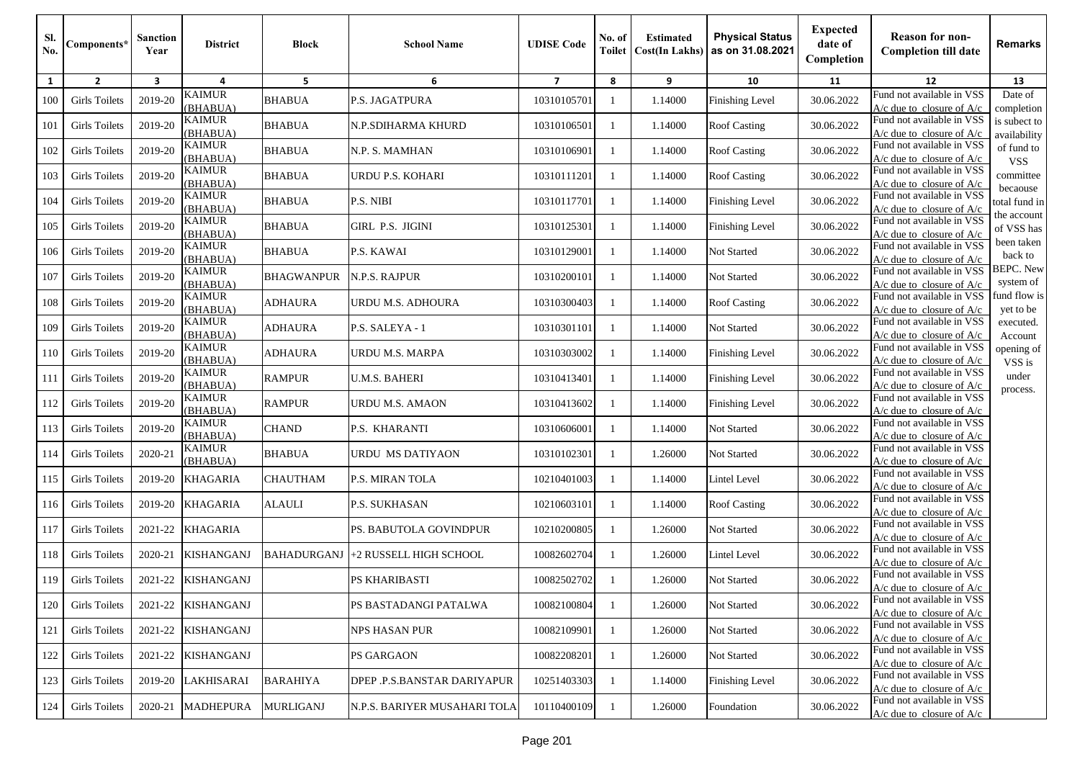| SI.<br>No. | Components*          | <b>Sanction</b><br>Year | <b>District</b>           | <b>Block</b>      | <b>School Name</b>           | <b>UDISE</b> Code       | No. of<br>Toilet | <b>Estimated</b><br><b>Cost(In Lakhs)</b> | <b>Physical Status</b><br>as on 31.08.2021 | <b>Expected</b><br>date of<br>Completion | <b>Reason for non-</b><br><b>Completion till date</b>      | Remarks                       |
|------------|----------------------|-------------------------|---------------------------|-------------------|------------------------------|-------------------------|------------------|-------------------------------------------|--------------------------------------------|------------------------------------------|------------------------------------------------------------|-------------------------------|
| 1          | $\overline{2}$       | 3                       | 4                         | 5                 | 6                            | $\overline{\mathbf{z}}$ | 8                | 9                                         | 10                                         | 11                                       | 12                                                         | 13                            |
| 100        | <b>Girls Toilets</b> | 2019-20                 | <b>KAIMUR</b><br>(BHABUA) | <b>BHABUA</b>     | P.S. JAGATPURA               | 10310105701             | -1               | 1.14000                                   | <b>Finishing Level</b>                     | 30.06.2022                               | Fund not available in VSS<br>$A/c$ due to closure of $A/c$ | Date of<br>completion         |
| 101        | <b>Girls Toilets</b> | 2019-20                 | <b>KAIMUR</b><br>(BHABUA) | <b>BHABUA</b>     | N.P.SDIHARMA KHURD           | 10310106501             | $\mathbf{1}$     | 1.14000                                   | <b>Roof Casting</b>                        | 30.06.2022                               | Fund not available in VSS<br>$A/c$ due to closure of $A/c$ | is subect to<br>availability  |
| 102        | <b>Girls Toilets</b> | 2019-20                 | <b>KAIMUR</b><br>(BHABUA) | <b>BHABUA</b>     | N.P. S. MAMHAN               | 10310106901             |                  | 1.14000                                   | <b>Roof Casting</b>                        | 30.06.2022                               | Fund not available in VSS<br>$A/c$ due to closure of $A/c$ | of fund to<br><b>VSS</b>      |
| 103        | <b>Girls Toilets</b> | 2019-20                 | <b>KAIMUR</b><br>(BHABUA) | <b>BHABUA</b>     | URDU P.S. KOHARI             | 10310111201             |                  | 1.14000                                   | <b>Roof Casting</b>                        | 30.06.2022                               | Fund not available in VSS<br>$A/c$ due to closure of $A/c$ | committee                     |
| 104        | Girls Toilets        | 2019-20                 | <b>KAIMUR</b><br>(BHABUA) | <b>BHABUA</b>     | P.S. NIBI                    | 10310117701             |                  | 1.14000                                   | <b>Finishing Level</b>                     | 30.06.2022                               | Fund not available in VSS<br>$A/c$ due to closure of $A/c$ | becaouse<br>total fund in     |
| 105        | <b>Girls Toilets</b> | 2019-20                 | <b>KAIMUR</b><br>(BHABUA) | <b>BHABUA</b>     | GIRL P.S. JIGINI             | 10310125301             |                  | 1.14000                                   | Finishing Level                            | 30.06.2022                               | Fund not available in VSS<br>$A/c$ due to closure of $A/c$ | the account<br>of VSS has     |
| 106        | <b>Girls Toilets</b> | 2019-20                 | <b>KAIMUR</b><br>(BHABUA) | <b>BHABUA</b>     | P.S. KAWAI                   | 10310129001             | $\mathbf{1}$     | 1.14000                                   | Not Started                                | 30.06.2022                               | Fund not available in VSS<br>$A/c$ due to closure of $A/c$ | been taken<br>back to         |
| 107        | <b>Girls Toilets</b> | 2019-20                 | <b>KAIMUR</b><br>(BHABUA) | <b>BHAGWANPUR</b> | N.P.S. RAJPUR                | 10310200101             |                  | 1.14000                                   | Not Started                                | 30.06.2022                               | Fund not available in VSS<br>$A/c$ due to closure of $A/c$ | <b>BEPC.</b> New<br>system of |
| 108        | <b>Girls Toilets</b> | 2019-20                 | <b>KAIMUR</b><br>(BHABUA) | <b>ADHAURA</b>    | URDU M.S. ADHOURA            | 10310300403             |                  | 1.14000                                   | <b>Roof Casting</b>                        | 30.06.2022                               | Fund not available in VSS<br>$A/c$ due to closure of $A/c$ | fund flow is<br>yet to be     |
| 109        | <b>Girls Toilets</b> | 2019-20                 | <b>KAIMUR</b><br>(BHABUA) | ADHAURA           | P.S. SALEYA - 1              | 10310301101             |                  | 1.14000                                   | Not Started                                | 30.06.2022                               | Fund not available in VSS<br>$A/c$ due to closure of $A/c$ | executed.<br>Account          |
| 110        | <b>Girls Toilets</b> | 2019-20                 | <b>KAIMUR</b><br>(BHABUA) | <b>ADHAURA</b>    | <b>URDU M.S. MARPA</b>       | 10310303002             | -1               | 1.14000                                   | <b>Finishing Level</b>                     | 30.06.2022                               | Fund not available in VSS<br>$A/c$ due to closure of $A/c$ | opening of<br>VSS is          |
| 111        | <b>Girls Toilets</b> | 2019-20                 | <b>KAIMUR</b><br>(BHABUA) | <b>RAMPUR</b>     | <b>U.M.S. BAHERI</b>         | 10310413401             | -1               | 1.14000                                   | <b>Finishing Level</b>                     | 30.06.2022                               | Fund not available in VSS<br>$A/c$ due to closure of $A/c$ | under<br>process.             |
| 112        | <b>Girls Toilets</b> | 2019-20                 | <b>KAIMUR</b><br>(BHABUA) | <b>RAMPUR</b>     | URDU M.S. AMAON              | 10310413602             |                  | 1.14000                                   | Finishing Level                            | 30.06.2022                               | Fund not available in VSS<br>$A/c$ due to closure of $A/c$ |                               |
| 113        | <b>Girls Toilets</b> | 2019-20                 | <b>KAIMUR</b><br>(BHABUA) | <b>CHAND</b>      | P.S. KHARANTI                | 10310606001             |                  | 1.14000                                   | Not Started                                | 30.06.2022                               | Fund not available in VSS<br>$A/c$ due to closure of $A/c$ |                               |
| 114        | <b>Girls Toilets</b> | 2020-21                 | <b>KAIMUR</b><br>(BHABUA) | <b>BHABUA</b>     | URDU MS DATIYAON             | 10310102301             | -1               | 1.26000                                   | Not Started                                | 30.06.2022                               | Fund not available in VSS<br>$A/c$ due to closure of $A/c$ |                               |
| 115        | <b>Girls Toilets</b> | 2019-20                 | <b>KHAGARIA</b>           | CHAUTHAM          | P.S. MIRAN TOLA              | 10210401003             | $\mathbf{1}$     | 1.14000                                   | Lintel Level                               | 30.06.2022                               | Fund not available in VSS<br>$A/c$ due to closure of $A/c$ |                               |
| 116        | <b>Girls Toilets</b> | 2019-20                 | <b>KHAGARIA</b>           | <b>ALAULI</b>     | <b>P.S. SUKHASAN</b>         | 10210603101             |                  | 1.14000                                   | <b>Roof Casting</b>                        | 30.06.2022                               | Fund not available in VSS<br>$A/c$ due to closure of $A/c$ |                               |
| 117        | <b>Girls Toilets</b> | 2021-22                 | <b>KHAGARIA</b>           |                   | PS. BABUTOLA GOVINDPUR       | 10210200805             |                  | 1.26000                                   | Not Started                                | 30.06.2022                               | Fund not available in VSS<br>$A/c$ due to closure of $A/c$ |                               |
| 118        | <b>Girls Toilets</b> | 2020-21                 | <b>KISHANGANJ</b>         | BAHADURGANJ       | +2 RUSSELL HIGH SCHOOL       | 10082602704             |                  | 1.26000                                   | Lintel Level                               | 30.06.2022                               | Fund not available in VSS<br>$A/c$ due to closure of $A/c$ |                               |
| 119        | <b>Girls Toilets</b> | 2021-22                 | <b>KISHANGANJ</b>         |                   | PS KHARIBASTI                | 10082502702             |                  | 1.26000                                   | Not Started                                | 30.06.2022                               | Fund not available in VSS<br>$A/c$ due to closure of $A/c$ |                               |
| 120        | <b>Girls Toilets</b> | 2021-22                 | <b>KISHANGANJ</b>         |                   | PS BASTADANGI PATALWA        | 10082100804             | -1               | 1.26000                                   | Not Started                                | 30.06.2022                               | Fund not available in VSS<br>$A/c$ due to closure of $A/c$ |                               |
| 121        | <b>Girls Toilets</b> | 2021-22                 | <b>KISHANGANJ</b>         |                   | NPS HASAN PUR                | 10082109901             | -1               | 1.26000                                   | Not Started                                | 30.06.2022                               | Fund not available in VSS<br>$A/c$ due to closure of $A/c$ |                               |
| 122        | <b>Girls Toilets</b> | 2021-22                 | <b>KISHANGANJ</b>         |                   | <b>PS GARGAON</b>            | 10082208201             |                  | 1.26000                                   | Not Started                                | 30.06.2022                               | Fund not available in VSS<br>$A/c$ due to closure of $A/c$ |                               |
| 123        | <b>Girls Toilets</b> | 2019-20                 | LAKHISARAI                | <b>BARAHIYA</b>   | DPEP .P.S.BANSTAR DARIYAPUR  | 10251403303             |                  | 1.14000                                   | <b>Finishing Level</b>                     | 30.06.2022                               | Fund not available in VSS<br>$A/c$ due to closure of $A/c$ |                               |
| 124        | <b>Girls Toilets</b> | 2020-21                 | <b>MADHEPURA</b>          | <b>MURLIGANJ</b>  | N.P.S. BARIYER MUSAHARI TOLA | 10110400109             | -1               | 1.26000                                   | Foundation                                 | 30.06.2022                               | Fund not available in VSS<br>$A/c$ due to closure of $A/c$ |                               |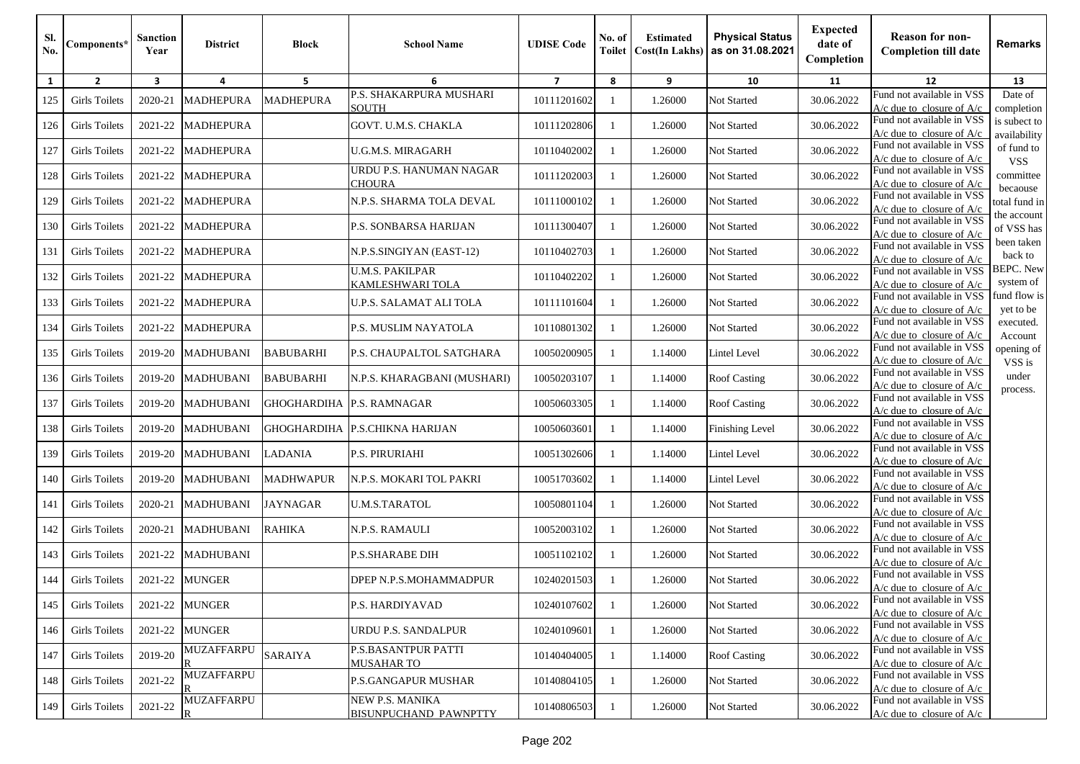| SI.<br>No. | Components*          | Sanction<br>Year | <b>District</b>                              | <b>Block</b>       | <b>School Name</b>                         | <b>UDISE</b> Code | No. of<br><b>Toilet</b> | <b>Estimated</b><br><b>Cost(In Lakhs)</b> | <b>Physical Status</b><br>as on 31.08.2021 | <b>Expected</b><br>date of<br>Completion | <b>Reason for non-</b><br><b>Completion till date</b>      | Remarks                       |
|------------|----------------------|------------------|----------------------------------------------|--------------------|--------------------------------------------|-------------------|-------------------------|-------------------------------------------|--------------------------------------------|------------------------------------------|------------------------------------------------------------|-------------------------------|
| 1          | $\overline{2}$       | 3                | 4                                            | 5                  | 6                                          | $\overline{7}$    | 8                       | 9                                         | 10                                         | 11                                       | 12                                                         | 13                            |
| 125        | <b>Girls Toilets</b> | 2020-21          | <b>MADHEPURA</b>                             | <b>MADHEPURA</b>   | P.S. SHAKARPURA MUSHARI<br>SOUTH           | 10111201602       | -1                      | 1.26000                                   | Not Started                                | 30.06.2022                               | Fund not available in VSS<br>$A/c$ due to closure of $A/c$ | Date of<br>completion         |
| 126        | <b>Girls Toilets</b> | 2021-22          | <b>MADHEPURA</b>                             |                    | GOVT. U.M.S. CHAKLA                        | 10111202806       | $\mathbf{1}$            | 1.26000                                   | Not Started                                | 30.06.2022                               | Fund not available in VSS<br>$A/c$ due to closure of $A/c$ | is subect to<br>availability  |
| 127        | <b>Girls Toilets</b> | 2021-22          | <b>MADHEPURA</b>                             |                    | U.G.M.S. MIRAGARH                          | 10110402002       | -1                      | 1.26000                                   | Not Started                                | 30.06.2022                               | Fund not available in VSS<br>$A/c$ due to closure of $A/c$ | of fund to<br><b>VSS</b>      |
| 128        | <b>Girls Toilets</b> | 2021-22          | <b>MADHEPURA</b>                             |                    | URDU P.S. HANUMAN NAGAR<br>CHOURA          | 10111202003       | -1                      | 1.26000                                   | Not Started                                | 30.06.2022                               | Fund not available in VSS<br>$A/c$ due to closure of $A/c$ | committee<br>becaouse         |
| 129        | <b>Girls Toilets</b> | 2021-22          | <b>MADHEPURA</b>                             |                    | N.P.S. SHARMA TOLA DEVAL                   | 10111000102       | -1                      | 1.26000                                   | Not Started                                | 30.06.2022                               | Fund not available in VSS<br>A/c due to closure of A/c     | total fund in                 |
| 130        | <b>Girls Toilets</b> | 2021-22          | <b>MADHEPURA</b>                             |                    | P.S. SONBARSA HARIJAN                      | 10111300407       | -1                      | 1.26000                                   | Not Started                                | 30.06.2022                               | Fund not available in VSS<br>$A/c$ due to closure of $A/c$ | the account<br>of VSS has     |
| 131        | <b>Girls Toilets</b> | 2021-22          | <b>MADHEPURA</b>                             |                    | N.P.S.SINGIYAN (EAST-12)                   | 10110402703       | -1                      | 1.26000                                   | Not Started                                | 30.06.2022                               | Fund not available in VSS<br>$A/c$ due to closure of $A/c$ | been taken<br>back to         |
| 132        | Girls Toilets        | 2021-22          | <b>MADHEPURA</b>                             |                    | <b>U.M.S. PAKILPAR</b><br>KAMLESHWARI TOLA | 10110402202       | -1                      | 1.26000                                   | Not Started                                | 30.06.2022                               | Fund not available in VSS<br>$A/c$ due to closure of $A/c$ | <b>BEPC.</b> New<br>system of |
| 133        | Girls Toilets        | 2021-22          | <b>MADHEPURA</b>                             |                    | U.P.S. SALAMAT ALI TOLA                    | 10111101604       | -1                      | 1.26000                                   | Not Started                                | 30.06.2022                               | Fund not available in VSS<br>$A/c$ due to closure of $A/c$ | fund flow is<br>yet to be     |
| 134        | <b>Girls Toilets</b> | 2021-22          | <b>MADHEPURA</b>                             |                    | P.S. MUSLIM NAYATOLA                       | 10110801302       | -1                      | 1.26000                                   | Not Started                                | 30.06.2022                               | Fund not available in VSS<br>$A/c$ due to closure of $A/c$ | executed.<br>Account          |
| 135        | <b>Girls Toilets</b> | 2019-20          | <b>MADHUBANI</b>                             | <b>BABUBARHI</b>   | P.S. CHAUPALTOL SATGHARA                   | 10050200905       | -1                      | 1.14000                                   | Lintel Level                               | 30.06.2022                               | Fund not available in VSS<br>$A/c$ due to closure of $A/c$ | opening of<br>VSS is          |
| 136        | <b>Girls Toilets</b> | 2019-20          | <b>MADHUBANI</b>                             | <b>BABUBARHI</b>   | N.P.S. KHARAGBANI (MUSHARI)                | 10050203107       | -1                      | 1.14000                                   | <b>Roof Casting</b>                        | 30.06.2022                               | Fund not available in VSS<br>A/c due to closure of A/c     | under<br>process.             |
| 137        | <b>Girls Toilets</b> | 2019-20          | <b>MADHUBANI</b>                             | <b>GHOGHARDIHA</b> | P.S. RAMNAGAR                              | 10050603305       | -1                      | 1.14000                                   | <b>Roof Casting</b>                        | 30.06.2022                               | Fund not available in VSS<br>$A/c$ due to closure of $A/c$ |                               |
| 138        | Girls Toilets        | 2019-20          | <b>MADHUBANI</b>                             | <b>GHOGHARDIHA</b> | <b>P.S.CHIKNA HARIJAN</b>                  | 10050603601       | -1                      | 1.14000                                   | <b>Finishing Level</b>                     | 30.06.2022                               | Fund not available in VSS<br>$A/c$ due to closure of $A/c$ |                               |
| 139        | Girls Toilets        | 2019-20          | <b>MADHUBANI</b>                             | LADANIA            | P.S. PIRURIAHI                             | 10051302606       | -1                      | 1.14000                                   | Lintel Level                               | 30.06.2022                               | Fund not available in VSS<br>$A/c$ due to closure of $A/c$ |                               |
| 140        | Girls Toilets        | 2019-20          | <b>MADHUBANI</b>                             | <b>MADHWAPUR</b>   | N.P.S. MOKARI TOL PAKRI                    | 10051703602       | -1                      | 1.14000                                   | Lintel Level                               | 30.06.2022                               | Fund not available in VSS<br>$A/c$ due to closure of $A/c$ |                               |
| 141        | Girls Toilets        | 2020-21          | <b>MADHUBANI</b>                             | <b>JAYNAGAR</b>    | U.M.S.TARATOL                              | 10050801104       | -1                      | 1.26000                                   | Not Started                                | 30.06.2022                               | Fund not available in VSS<br>$A/c$ due to closure of $A/c$ |                               |
| 142        | <b>Girls Toilets</b> | 2020-21          | <b>MADHUBANI</b>                             | <b>RAHIKA</b>      | N.P.S. RAMAULI                             | 10052003102       | 1                       | 1.26000                                   | Not Started                                | 30.06.2022                               | Fund not available in VSS<br>$A/c$ due to closure of $A/c$ |                               |
| 143        | <b>Girls Toilets</b> | 2021-22          | <b>MADHUBANI</b>                             |                    | <b>P.S.SHARABE DIH</b>                     | 10051102102       | -1                      | 1.26000                                   | Not Started                                | 30.06.2022                               | Fund not available in VSS<br>$A/c$ due to closure of $A/c$ |                               |
| 144        | <b>Girls Toilets</b> | 2021-22          | <b>MUNGER</b>                                |                    | DPEP N.P.S.MOHAMMADPUR                     | 10240201503       |                         | 1.26000                                   | Not Started                                | 30.06.2022                               | Fund not available in VSS<br>$A/c$ due to closure of $A/c$ |                               |
| 145        | <b>Girls Toilets</b> | 2021-22          | <b>MUNGER</b>                                |                    | P.S. HARDIYAVAD                            | 10240107602       | -1                      | 1.26000                                   | Not Started                                | 30.06.2022                               | Fund not available in VSS<br>$A/c$ due to closure of $A/c$ |                               |
| 146        | <b>Girls Toilets</b> | 2021-22          | <b>MUNGER</b>                                |                    | URDU P.S. SANDALPUR                        | 10240109601       | -1                      | 1.26000                                   | Not Started                                | 30.06.2022                               | Fund not available in VSS<br>$A/c$ due to closure of $A/c$ |                               |
| 147        | <b>Girls Toilets</b> | 2019-20          | MUZAFFARPU                                   | <b>SARAIYA</b>     | <b>P.S.BASANTPUR PATTI</b><br>MUSAHAR TO   | 10140404005       | -1                      | 1.14000                                   | <b>Roof Casting</b>                        | 30.06.2022                               | Fund not available in VSS<br>$A/c$ due to closure of $A/c$ |                               |
| 148        | <b>Girls Toilets</b> | 2021-22          | <b>MUZAFFARPU</b><br>$\overline{\mathbb{R}}$ |                    | <b>P.S.GANGAPUR MUSHAR</b>                 | 10140804105       | -1                      | 1.26000                                   | Not Started                                | 30.06.2022                               | Fund not available in VSS<br>$A/c$ due to closure of $A/c$ |                               |
| 149        | <b>Girls Toilets</b> | $2021 - 22$      | <b>MUZAFFARPU</b><br>$\mathbb R$             |                    | NEW P.S. MANIKA<br>BISUNPUCHAND PAWNPTTY   | 10140806503       | 1                       | 1.26000                                   | Not Started                                | 30.06.2022                               | Fund not available in VSS<br>$A/c$ due to closure of $A/c$ |                               |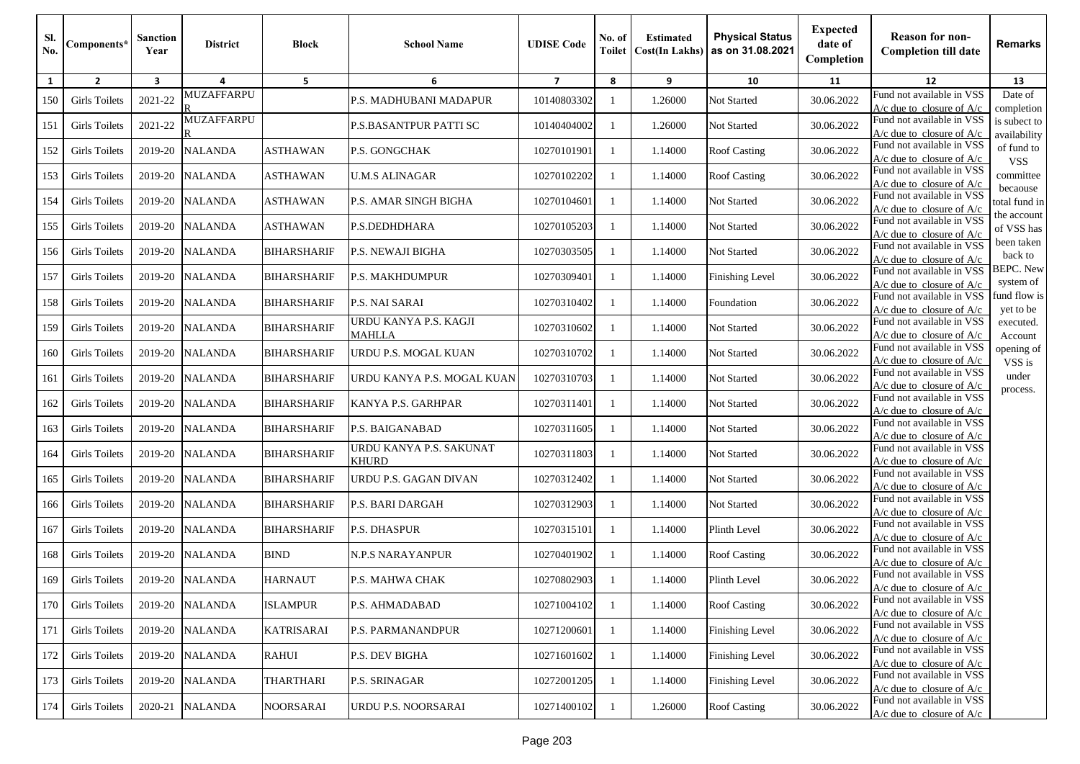| SI.<br>No. | Components*          | <b>Sanction</b><br>Year | <b>District</b>   | <b>Block</b>       | <b>School Name</b>                      | <b>UDISE</b> Code | No. of<br>Toilet | <b>Estimated</b><br><b>Cost(In Lakhs)</b> | <b>Physical Status</b><br>as on 31.08.2021 | <b>Expected</b><br>date of<br>Completion | <b>Reason for non-</b><br><b>Completion till date</b>      | <b>Remarks</b>                |
|------------|----------------------|-------------------------|-------------------|--------------------|-----------------------------------------|-------------------|------------------|-------------------------------------------|--------------------------------------------|------------------------------------------|------------------------------------------------------------|-------------------------------|
| 1          | $\overline{2}$       | 3                       | 4                 | 5                  | 6                                       | $\overline{7}$    | 8                | 9                                         | 10                                         | 11                                       | 12                                                         | 13                            |
| 150        | <b>Girls Toilets</b> | 2021-22                 | <b>MUZAFFARPU</b> |                    | P.S. MADHUBANI MADAPUR                  | 10140803302       | -1               | 1.26000                                   | Not Started                                | 30.06.2022                               | Fund not available in VSS<br>$A/c$ due to closure of $A/c$ | Date of<br>completion         |
| 151        | <b>Girls Toilets</b> | 2021-22                 | <b>MUZAFFARPU</b> |                    | P.S.BASANTPUR PATTI SC                  | 10140404002       | -1               | 1.26000                                   | Not Started                                | 30.06.2022                               | Fund not available in VSS<br>A/c due to closure of $A/c$   | is subect to<br>availability  |
| 152        | Girls Toilets        | 2019-20                 | <b>NALANDA</b>    | <b>ASTHAWAN</b>    | P.S. GONGCHAK                           | 10270101901       | -1               | 1.14000                                   | <b>Roof Casting</b>                        | 30.06.2022                               | Fund not available in VSS<br>$A/c$ due to closure of $A/c$ | of fund to<br><b>VSS</b>      |
| 153        | <b>Girls Toilets</b> | 2019-20                 | <b>NALANDA</b>    | <b>ASTHAWAN</b>    | <b>U.M.S ALINAGAR</b>                   | 10270102202       | -1               | 1.14000                                   | <b>Roof Casting</b>                        | 30.06.2022                               | Fund not available in VSS<br>$A/c$ due to closure of $A/c$ | committee                     |
| 154        | <b>Girls Toilets</b> | 2019-20                 | <b>NALANDA</b>    | ASTHAWAN           | P.S. AMAR SINGH BIGHA                   | 10270104601       | -1               | 1.14000                                   | Not Started                                | 30.06.2022                               | Fund not available in VSS<br>A/c due to closure of A/c     | becaouse<br>total fund in     |
| 155        | <b>Girls Toilets</b> | 2019-20                 | <b>NALANDA</b>    | <b>ASTHAWAN</b>    | P.S.DEDHDHARA                           | 10270105203       |                  | 1.14000                                   | Not Started                                | 30.06.2022                               | Fund not available in VSS<br>$A/c$ due to closure of $A/c$ | the account<br>of VSS has     |
| 156        | <b>Girls Toilets</b> | 2019-20                 | <b>NALANDA</b>    | <b>BIHARSHARIF</b> | P.S. NEWAJI BIGHA                       | 10270303505       | -1               | 1.14000                                   | Not Started                                | 30.06.2022                               | Fund not available in VSS<br>A/c due to closure of $A/c$   | been taken<br>back to         |
| 157        | <b>Girls Toilets</b> | 2019-20                 | <b>NALANDA</b>    | <b>BIHARSHARIF</b> | <b>P.S. MAKHDUMPUR</b>                  | 10270309401       | -1               | 1.14000                                   | <b>Finishing Level</b>                     | 30.06.2022                               | Fund not available in VSS<br>$A/c$ due to closure of $A/c$ | <b>BEPC.</b> New<br>system of |
| 158        | Girls Toilets        | 2019-20                 | <b>NALANDA</b>    | <b>BIHARSHARIF</b> | P.S. NAI SARAI                          | 10270310402       | -1               | 1.14000                                   | Foundation                                 | 30.06.2022                               | Fund not available in VSS<br>$A/c$ due to closure of $A/c$ | fund flow is<br>yet to be     |
| 159        | <b>Girls Toilets</b> | 2019-20                 | <b>NALANDA</b>    | <b>BIHARSHARIF</b> | URDU KANYA P.S. KAGJI<br><b>MAHLLA</b>  | 10270310602       | -1               | 1.14000                                   | Not Started                                | 30.06.2022                               | Fund not available in VSS<br>$A/c$ due to closure of $A/c$ | executed.<br>Account          |
| 160        | Girls Toilets        | 2019-20                 | <b>NALANDA</b>    | <b>BIHARSHARIF</b> | URDU P.S. MOGAL KUAN                    | 10270310702       |                  | 1.14000                                   | Not Started                                | 30.06.2022                               | Fund not available in VSS<br>$A/c$ due to closure of $A/c$ | opening of<br>VSS is          |
| 161        | <b>Girls Toilets</b> | 2019-20                 | <b>NALANDA</b>    | <b>BIHARSHARIF</b> | URDU KANYA P.S. MOGAL KUAN              | 10270310703       | -1               | 1.14000                                   | Not Started                                | 30.06.2022                               | Fund not available in VSS<br>$A/c$ due to closure of $A/c$ | under<br>process.             |
| 162        | <b>Girls Toilets</b> | 2019-20                 | <b>NALANDA</b>    | <b>BIHARSHARIF</b> | KANYA P.S. GARHPAR                      | 10270311401       | -1               | 1.14000                                   | Not Started                                | 30.06.2022                               | Fund not available in VSS<br>$A/c$ due to closure of $A/c$ |                               |
| 163        | <b>Girls Toilets</b> | 2019-20                 | <b>NALANDA</b>    | <b>BIHARSHARIF</b> | P.S. BAIGANABAD                         | 10270311605       | -1               | 1.14000                                   | Not Started                                | 30.06.2022                               | Fund not available in VSS<br>$A/c$ due to closure of $A/c$ |                               |
| 164        | <b>Girls Toilets</b> | 2019-20                 | <b>NALANDA</b>    | <b>BIHARSHARIF</b> | URDU KANYA P.S. SAKUNAT<br><b>KHURD</b> | 10270311803       | -1               | 1.14000                                   | Not Started                                | 30.06.2022                               | Fund not available in VSS<br>$A/c$ due to closure of $A/c$ |                               |
| 165        | <b>Girls Toilets</b> | 2019-20                 | <b>NALANDA</b>    | <b>BIHARSHARIF</b> | URDU P.S. GAGAN DIVAN                   | 10270312402       | -1               | 1.14000                                   | Not Started                                | 30.06.2022                               | Fund not available in VSS<br>$A/c$ due to closure of $A/c$ |                               |
| 166        | <b>Girls Toilets</b> | 2019-20                 | <b>NALANDA</b>    | <b>BIHARSHARIF</b> | P.S. BARI DARGAH                        | 10270312903       |                  | 1.14000                                   | Not Started                                | 30.06.2022                               | Fund not available in VSS<br>$A/c$ due to closure of $A/c$ |                               |
| 167        | Girls Toilets        | 2019-20                 | <b>NALANDA</b>    | <b>BIHARSHARIF</b> | <b>P.S. DHASPUR</b>                     | 10270315101       | -1               | 1.14000                                   | Plinth Level                               | 30.06.2022                               | Fund not available in VSS<br>$A/c$ due to closure of $A/c$ |                               |
| 168        | <b>Girls Toilets</b> | 2019-20                 | <b>NALANDA</b>    | <b>BIND</b>        | N.P.S NARAYANPUR                        | 10270401902       | -1               | 1.14000                                   | <b>Roof Casting</b>                        | 30.06.2022                               | Fund not available in VSS<br>$A/c$ due to closure of $A/c$ |                               |
| 169        | <b>Girls Toilets</b> |                         | 2019-20 NALANDA   | <b>HARNAUT</b>     | P.S. MAHWA CHAK                         | 10270802903       |                  | 1.14000                                   | Plinth Level                               | 30.06.2022                               | Fund not available in VSS<br>$A/c$ due to closure of $A/c$ |                               |
| 170        | <b>Girls Toilets</b> |                         | 2019-20 NALANDA   | <b>ISLAMPUR</b>    | P.S. AHMADABAD                          | 10271004102       | $\mathbf{1}$     | 1.14000                                   | <b>Roof Casting</b>                        | 30.06.2022                               | Fund not available in VSS<br>$A/c$ due to closure of $A/c$ |                               |
| 171        | <b>Girls Toilets</b> |                         | 2019-20 NALANDA   | <b>KATRISARAI</b>  | P.S. PARMANANDPUR                       | 10271200601       | 1                | 1.14000                                   | <b>Finishing Level</b>                     | 30.06.2022                               | Fund not available in VSS<br>$A/c$ due to closure of $A/c$ |                               |
| 172        | <b>Girls Toilets</b> | 2019-20                 | <b>NALANDA</b>    | <b>RAHUI</b>       | P.S. DEV BIGHA                          | 10271601602       | -1               | 1.14000                                   | Finishing Level                            | 30.06.2022                               | Fund not available in VSS<br>$A/c$ due to closure of $A/c$ |                               |
| 173        | <b>Girls Toilets</b> | 2019-20                 | <b>NALANDA</b>    | THARTHARI          | <b>P.S. SRINAGAR</b>                    | 10272001205       | 1                | 1.14000                                   | <b>Finishing Level</b>                     | 30.06.2022                               | Fund not available in VSS<br>A/c due to closure of $A/c$   |                               |
| 174        | <b>Girls Toilets</b> | 2020-21                 | <b>NALANDA</b>    | <b>NOORSARAI</b>   | URDU P.S. NOORSARAI                     | 10271400102       | 1                | 1.26000                                   | Roof Casting                               | 30.06.2022                               | Fund not available in VSS<br>A/c due to closure of $A/c$   |                               |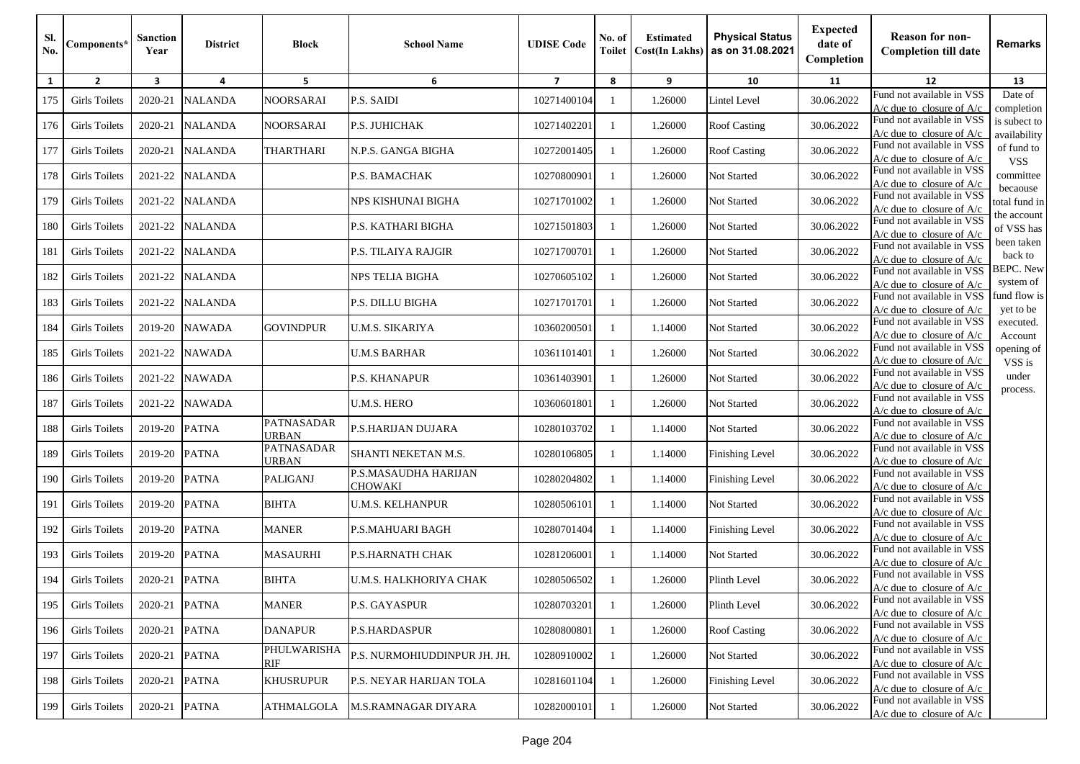| SI.<br>No. | Components*          | Sanction<br>Year | <b>District</b> | <b>Block</b>               | <b>School Name</b>              | <b>UDISE Code</b> | No. of<br><b>Toilet</b> | <b>Estimated</b><br><b>Cost(In Lakhs)</b> | <b>Physical Status</b><br>as on 31.08.2021 | <b>Expected</b><br>date of<br>Completion | <b>Reason for non-</b><br><b>Completion till date</b>      | Remarks                       |
|------------|----------------------|------------------|-----------------|----------------------------|---------------------------------|-------------------|-------------------------|-------------------------------------------|--------------------------------------------|------------------------------------------|------------------------------------------------------------|-------------------------------|
| 1          | $\overline{2}$       | 3                | 4               | 5                          | 6                               | $\overline{7}$    | 8                       | 9                                         | 10                                         | 11                                       | 12                                                         | 13                            |
| 175        | <b>Girls Toilets</b> | 2020-21          | <b>NALANDA</b>  | NOORSARAI                  | P.S. SAIDI                      | 10271400104       | -1                      | 1.26000                                   | Lintel Level                               | 30.06.2022                               | Fund not available in VSS<br>$A/c$ due to closure of $A/c$ | Date of<br>completion         |
| 176        | <b>Girls Toilets</b> | 2020-21          | <b>NALANDA</b>  | <b>NOORSARAI</b>           | P.S. JUHICHAK                   | 10271402201       | -1                      | 1.26000                                   | <b>Roof Casting</b>                        | 30.06.2022                               | Fund not available in VSS<br>$A/c$ due to closure of $A/c$ | is subect to<br>availability  |
| 177        | <b>Girls Toilets</b> | 2020-21          | <b>NALANDA</b>  | <b>THARTHARI</b>           | N.P.S. GANGA BIGHA              | 10272001405       | -1                      | 1.26000                                   | <b>Roof Casting</b>                        | 30.06.2022                               | Fund not available in VSS<br>$A/c$ due to closure of $A/c$ | of fund to<br><b>VSS</b>      |
| 178        | <b>Girls Toilets</b> | 2021-22          | <b>NALANDA</b>  |                            | P.S. BAMACHAK                   | 10270800901       | -1                      | 1.26000                                   | Not Started                                | 30.06.2022                               | Fund not available in VSS<br>$A/c$ due to closure of $A/c$ | committee                     |
| 179        | <b>Girls Toilets</b> | 2021-22          | <b>NALANDA</b>  |                            | NPS KISHUNAI BIGHA              | 10271701002       | -1                      | 1.26000                                   | Not Started                                | 30.06.2022                               | Fund not available in VSS<br>A/c due to closure of A/c     | becaouse<br>total fund in     |
| 180        | <b>Girls Toilets</b> | 2021-22          | <b>NALANDA</b>  |                            | P.S. KATHARI BIGHA              | 10271501803       | -1                      | 1.26000                                   | Not Started                                | 30.06.2022                               | Fund not available in VSS<br>A/c due to closure of A/c     | the account<br>of VSS has     |
| 181        | <b>Girls Toilets</b> | 2021-22          | <b>NALANDA</b>  |                            | P.S. TILAIYA RAJGIR             | 10271700701       | -1                      | 1.26000                                   | Not Started                                | 30.06.2022                               | Fund not available in VSS<br>$A/c$ due to closure of $A/c$ | been taken<br>back to         |
| 182        | Girls Toilets        | 2021-22          | <b>NALANDA</b>  |                            | NPS TELIA BIGHA                 | 10270605102       | -1                      | 1.26000                                   | Not Started                                | 30.06.2022                               | Fund not available in VSS<br>A/c due to closure of A/c     | <b>BEPC.</b> New<br>system of |
| 183        | Girls Toilets        | 2021-22          | <b>NALANDA</b>  |                            | P.S. DILLU BIGHA                | 10271701701       | -1                      | 1.26000                                   | Not Started                                | 30.06.2022                               | Fund not available in VSS<br>$A/c$ due to closure of $A/c$ | fund flow is<br>yet to be     |
| 184        | <b>Girls Toilets</b> | 2019-20          | <b>NAWADA</b>   | <b>GOVINDPUR</b>           | U.M.S. SIKARIYA                 | 10360200501       | -1                      | 1.14000                                   | Not Started                                | 30.06.2022                               | Fund not available in VSS<br>A/c due to closure of $A/c$   | executed.<br>Account          |
| 185        | <b>Girls Toilets</b> | 2021-22          | <b>NAWADA</b>   |                            | <b>U.M.S BARHAR</b>             | 10361101401       | -1                      | 1.26000                                   | Not Started                                | 30.06.2022                               | Fund not available in VSS<br>$A/c$ due to closure of $A/c$ | opening of<br>VSS is          |
| 186        | <b>Girls Toilets</b> | 2021-22          | <b>NAWADA</b>   |                            | P.S. KHANAPUR                   | 10361403901       | -1                      | 1.26000                                   | Not Started                                | 30.06.2022                               | Fund not available in VSS<br>A/c due to closure of A/c     | under                         |
| 187        | <b>Girls Toilets</b> | 2021-22          | <b>NAWADA</b>   |                            | <b>U.M.S. HERO</b>              | 10360601801       | -1                      | 1.26000                                   | Not Started                                | 30.06.2022                               | Fund not available in VSS<br>$A/c$ due to closure of $A/c$ | process.                      |
| 188        | <b>Girls Toilets</b> | 2019-20          | <b>PATNA</b>    | PATNASADAR<br><b>URBAN</b> | P.S.HARIJAN DUJARA              | 10280103702       | -1                      | 1.14000                                   | Not Started                                | 30.06.2022                               | Fund not available in VSS<br>$A/c$ due to closure of $A/c$ |                               |
| 189        | Girls Toilets        | 2019-20          | <b>PATNA</b>    | PATNASADAR<br><b>URBAN</b> | SHANTI NEKETAN M.S.             | 10280106805       | -1                      | 1.14000                                   | Finishing Level                            | 30.06.2022                               | Fund not available in VSS<br>$A/c$ due to closure of $A/c$ |                               |
| 190        | Girls Toilets        | 2019-20          | <b>PATNA</b>    | <b>PALIGANJ</b>            | P.S.MASAUDHA HARIJAN<br>CHOWAKI | 10280204802       | -1                      | 1.14000                                   | <b>Finishing Level</b>                     | 30.06.2022                               | Fund not available in VSS<br>$A/c$ due to closure of $A/c$ |                               |
| 191        | Girls Toilets        | 2019-20          | <b>PATNA</b>    | <b>BIHTA</b>               | <b>U.M.S. KELHANPUR</b>         | 10280506101       | -1                      | 1.14000                                   | Not Started                                | 30.06.2022                               | Fund not available in VSS<br>$A/c$ due to closure of $A/c$ |                               |
| 192        | <b>Girls Toilets</b> | 2019-20          | <b>PATNA</b>    | <b>MANER</b>               | P.S.MAHUARI BAGH                | 10280701404       | -1                      | 1.14000                                   | Finishing Level                            | 30.06.2022                               | Fund not available in VSS<br>$A/c$ due to closure of $A/c$ |                               |
| 193        | <b>Girls Toilets</b> | 2019-20          | <b>PATNA</b>    | <b>MASAURHI</b>            | P.S.HARNATH CHAK                | 10281206001       | -1                      | 1.14000                                   | Not Started                                | 30.06.2022                               | Fund not available in VSS<br>$A/c$ due to closure of $A/c$ |                               |
| 194        | <b>Girls Toilets</b> | 2020-21          | <b>PATNA</b>    | <b>BIHTA</b>               | U.M.S. HALKHORIYA CHAK          | 10280506502       |                         | 1.26000                                   | Plinth Level                               | 30.06.2022                               | Fund not available in VSS<br>$A/c$ due to closure of $A/c$ |                               |
| 195        | <b>Girls Toilets</b> | 2020-21          | <b>PATNA</b>    | <b>MANER</b>               | P.S. GAYASPUR                   | 10280703201       | -1                      | 1.26000                                   | Plinth Level                               | 30.06.2022                               | Fund not available in VSS<br>$A/c$ due to closure of $A/c$ |                               |
| 196        | Girls Toilets        | 2020-21          | <b>PATNA</b>    | <b>DANAPUR</b>             | P.S.HARDASPUR                   | 10280800801       | -1                      | 1.26000                                   | <b>Roof Casting</b>                        | 30.06.2022                               | Fund not available in VSS<br>$A/c$ due to closure of $A/c$ |                               |
| 197        | <b>Girls Toilets</b> | 2020-21          | <b>PATNA</b>    | PHULWARISHA<br>RIF         | P.S. NURMOHIUDDINPUR JH. JH.    | 10280910002       | -1                      | 1.26000                                   | Not Started                                | 30.06.2022                               | Fund not available in VSS<br>$A/c$ due to closure of $A/c$ |                               |
| 198        | <b>Girls Toilets</b> | 2020-21          | <b>PATNA</b>    | <b>KHUSRUPUR</b>           | <b>P.S. NEYAR HARIJAN TOLA</b>  | 10281601104       | -1                      | 1.26000                                   | Finishing Level                            | 30.06.2022                               | Fund not available in VSS<br>$A/c$ due to closure of $A/c$ |                               |
| 199        | <b>Girls Toilets</b> | 2020-21          | <b>PATNA</b>    | <b>ATHMALGOLA</b>          | M.S.RAMNAGAR DIYARA             | 10282000101       | -1                      | 1.26000                                   | Not Started                                | 30.06.2022                               | Fund not available in VSS<br>$A/c$ due to closure of $A/c$ |                               |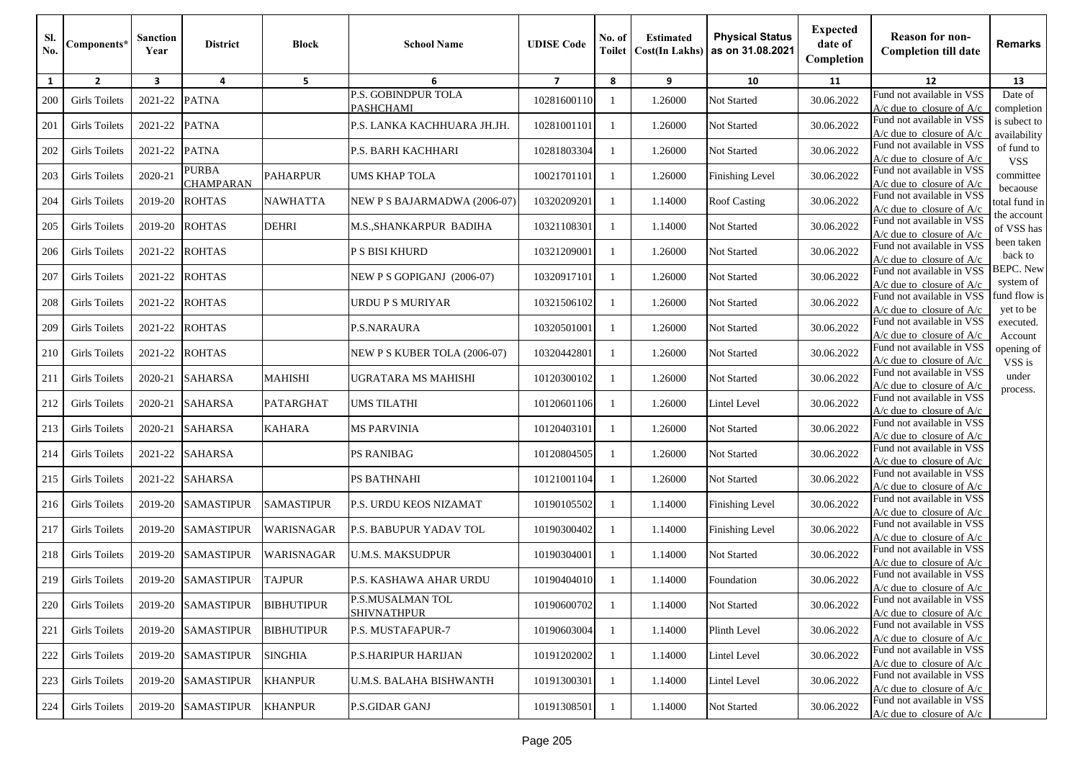| Sl.<br>No.   | Components*          | <b>Sanction</b><br>Year | <b>District</b>                  | <b>Block</b>      | <b>School Name</b>                      | <b>UDISE Code</b> | No. of<br><b>Toilet</b> | <b>Estimated</b><br><b>Cost(In Lakhs)</b> | <b>Physical Status</b><br>as on 31.08.2021 | <b>Expected</b><br>date of<br>Completion | <b>Reason for non-</b><br><b>Completion till date</b>      | <b>Remarks</b>                |
|--------------|----------------------|-------------------------|----------------------------------|-------------------|-----------------------------------------|-------------------|-------------------------|-------------------------------------------|--------------------------------------------|------------------------------------------|------------------------------------------------------------|-------------------------------|
| $\mathbf{1}$ | $\overline{2}$       | $\overline{\mathbf{3}}$ | 4                                | 5                 | 6                                       | $\overline{7}$    | 8                       | 9                                         | 10                                         | 11                                       | 12                                                         | 13                            |
| 200          | <b>Girls Toilets</b> | 2021-22                 | <b>PATNA</b>                     |                   | P.S. GOBINDPUR TOLA<br><b>PASHCHAMI</b> | 10281600110       | -1                      | 1.26000                                   | Not Started                                | 30.06.2022                               | Fund not available in VSS<br>$A/c$ due to closure of $A/c$ | Date of<br>completion         |
| 201          | Girls Toilets        | 2021-22                 | <b>PATNA</b>                     |                   | P.S. LANKA KACHHUARA JH.JH.             | 10281001101       | $\mathbf{1}$            | 1.26000                                   | Not Started                                | 30.06.2022                               | Fund not available in VSS<br>A/c due to closure of $A/c$   | is subect to<br>availability  |
| 202          | <b>Girls Toilets</b> | 2021-22                 | <b>PATNA</b>                     |                   | P.S. BARH KACHHARI                      | 10281803304       | -1                      | 1.26000                                   | Not Started                                | 30.06.2022                               | Fund not available in VSS<br>A/c due to closure of $A/c$   | of fund to<br><b>VSS</b>      |
| 203          | <b>Girls Toilets</b> | 2020-21                 | <b>PURBA</b><br><b>CHAMPARAN</b> | <b>PAHARPUR</b>   | <b>UMS KHAP TOLA</b>                    | 10021701101       | -1                      | 1.26000                                   | <b>Finishing Level</b>                     | 30.06.2022                               | Fund not available in VSS<br>$A/c$ due to closure of $A/c$ | committee                     |
| 204          | <b>Girls Toilets</b> | 2019-20                 | <b>ROHTAS</b>                    | <b>NAWHATTA</b>   | NEW P S BAJARMADWA (2006-07)            | 10320209201       | -1                      | 1.14000                                   | <b>Roof Casting</b>                        | 30.06.2022                               | Fund not available in VSS<br>A/c due to closure of A/c     | becaouse<br>total fund in     |
| 205          | <b>Girls Toilets</b> | 2019-20                 | <b>ROHTAS</b>                    | <b>DEHRI</b>      | M.S., SHANKARPUR BADIHA                 | 10321108301       | -1                      | 1.14000                                   | Not Started                                | 30.06.2022                               | Fund not available in VSS<br>A/c due to closure of A/c     | the account<br>of VSS has     |
| 206          | Girls Toilets        | 2021-22                 | <b>ROHTAS</b>                    |                   | <b>P S BISI KHURD</b>                   | 10321209001       | -1                      | 1.26000                                   | Not Started                                | 30.06.2022                               | Fund not available in VSS<br>A/c due to closure of A/c     | been taken<br>back to         |
| 207          | Girls Toilets        | 2021-22                 | <b>ROHTAS</b>                    |                   | NEW P S GOPIGANJ (2006-07)              | 10320917101       | -1                      | 1.26000                                   | Not Started                                | 30.06.2022                               | Fund not available in VSS<br>$A/c$ due to closure of $A/c$ | <b>BEPC.</b> New<br>system of |
| 208          | <b>Girls Toilets</b> | 2021-22                 | <b>ROHTAS</b>                    |                   | URDU P S MURIYAR                        | 10321506102       | -1                      | 1.26000                                   | Not Started                                | 30.06.2022                               | Fund not available in VSS<br>$A/c$ due to closure of $A/c$ | fund flow is<br>yet to be     |
| 209          | <b>Girls Toilets</b> | 2021-22                 | <b>ROHTAS</b>                    |                   | P.S.NARAURA                             | 10320501001       | -1                      | 1.26000                                   | Not Started                                | 30.06.2022                               | Fund not available in VSS<br>$A/c$ due to closure of $A/c$ | executed.<br>Account          |
| 210          | <b>Girls Toilets</b> | 2021-22                 | <b>ROHTAS</b>                    |                   | NEW P S KUBER TOLA (2006-07)            | 10320442801       | -1                      | 1.26000                                   | Not Started                                | 30.06.2022                               | Fund not available in VSS<br>$A/c$ due to closure of $A/c$ | opening of<br>VSS is          |
| 211          | <b>Girls Toilets</b> | 2020-21                 | <b>SAHARSA</b>                   | <b>MAHISHI</b>    | UGRATARA MS MAHISHI                     | 10120300102       | -1                      | 1.26000                                   | Not Started                                | 30.06.2022                               | Fund not available in VSS<br>$A/c$ due to closure of $A/c$ | under<br>process.             |
| 212          | <b>Girls Toilets</b> | 2020-21                 | <b>SAHARSA</b>                   | PATARGHAT         | <b>UMS TILATHI</b>                      | 10120601106       | -1                      | 1.26000                                   | Lintel Level                               | 30.06.2022                               | Fund not available in VSS<br>$A/c$ due to closure of $A/c$ |                               |
| 213          | Girls Toilets        | 2020-21                 | <b>SAHARSA</b>                   | <b>KAHARA</b>     | <b>MS PARVINIA</b>                      | 10120403101       | -1                      | 1.26000                                   | Not Started                                | 30.06.2022                               | Fund not available in VSS<br>$A/c$ due to closure of $A/c$ |                               |
| 214          | Girls Toilets        | 2021-22                 | <b>SAHARSA</b>                   |                   | PS RANIBAG                              | 10120804505       | -1                      | 1.26000                                   | Not Started                                | 30.06.2022                               | Fund not available in VSS<br>$A/c$ due to closure of $A/c$ |                               |
| 215          | <b>Girls Toilets</b> | 2021-22                 | <b>SAHARSA</b>                   |                   | PS BATHNAHI                             | 10121001104       | -1                      | 1.26000                                   | Not Started                                | 30.06.2022                               | Fund not available in VSS<br>$A/c$ due to closure of $A/c$ |                               |
| 216          | Girls Toilets        | 2019-20                 | <b>SAMASTIPUR</b>                | <b>SAMASTIPUR</b> | <b>P.S. URDU KEOS NIZAMAT</b>           | 10190105502       | -1                      | 1.14000                                   | <b>Finishing Level</b>                     | 30.06.2022                               | Fund not available in VSS<br>A/c due to closure of $A/c$   |                               |
| 217          | <b>Girls Toilets</b> | 2019-20                 | <b>SAMASTIPUR</b>                | WARISNAGAR        | P.S. BABUPUR YADAV TOL                  | 10190300402       | -1                      | 1.14000                                   | <b>Finishing Level</b>                     | 30.06.2022                               | Fund not available in VSS<br>$A/c$ due to closure of $A/c$ |                               |
| 218          | <b>Girls Toilets</b> | 2019-20                 | <b>SAMASTIPUR</b>                | WARISNAGAR        | <b>U.M.S. MAKSUDPUR</b>                 | 10190304001       | -1                      | 1.14000                                   | Not Started                                | 30.06.2022                               | Fund not available in VSS<br>$A/c$ due to closure of $A/c$ |                               |
| 219          | <b>Girls Toilets</b> |                         | 2019-20 SAMASTIPUR               | <b>TAJPUR</b>     | P.S. KASHAWA AHAR URDU                  | 10190404010       |                         | 1.14000                                   | Foundation                                 | 30.06.2022                               | Fund not available in VSS<br>$A/c$ due to closure of $A/c$ |                               |
| 220          | <b>Girls Toilets</b> | 2019-20                 | <b>SAMASTIPUR</b>                | <b>BIBHUTIPUR</b> | P.S.MUSALMAN TOL<br><b>SHIVNATHPUR</b>  | 10190600702       | -1                      | 1.14000                                   | Not Started                                | 30.06.2022                               | Fund not available in VSS<br>$A/c$ due to closure of $A/c$ |                               |
| 221          | <b>Girls Toilets</b> | 2019-20                 | SAMASTIPUR                       | <b>BIBHUTIPUR</b> | <b>P.S. MUSTAFAPUR-7</b>                | 10190603004       | -1                      | 1.14000                                   | Plinth Level                               | 30.06.2022                               | Fund not available in VSS<br>$A/c$ due to closure of $A/c$ |                               |
| 222          | Girls Toilets        | 2019-20                 | <b>SAMASTIPUR</b>                | <b>SINGHIA</b>    | P.S.HARIPUR HARIJAN                     | 10191202002       | -1                      | 1.14000                                   | Lintel Level                               | 30.06.2022                               | Fund not available in VSS<br>$A/c$ due to closure of $A/c$ |                               |
| 223          | <b>Girls Toilets</b> | 2019-20                 | <b>SAMASTIPUR</b>                | <b>KHANPUR</b>    | U.M.S. BALAHA BISHWANTH                 | 10191300301       | -1                      | 1.14000                                   | Lintel Level                               | 30.06.2022                               | Fund not available in VSS<br>$A/c$ due to closure of $A/c$ |                               |
| 224          | <b>Girls Toilets</b> | 2019-20                 | <b>SAMASTIPUR</b>                | <b>KHANPUR</b>    | <b>P.S.GIDAR GANJ</b>                   | 10191308501       | 1                       | 1.14000                                   | Not Started                                | 30.06.2022                               | Fund not available in VSS<br>A/c due to closure of $A/c$   |                               |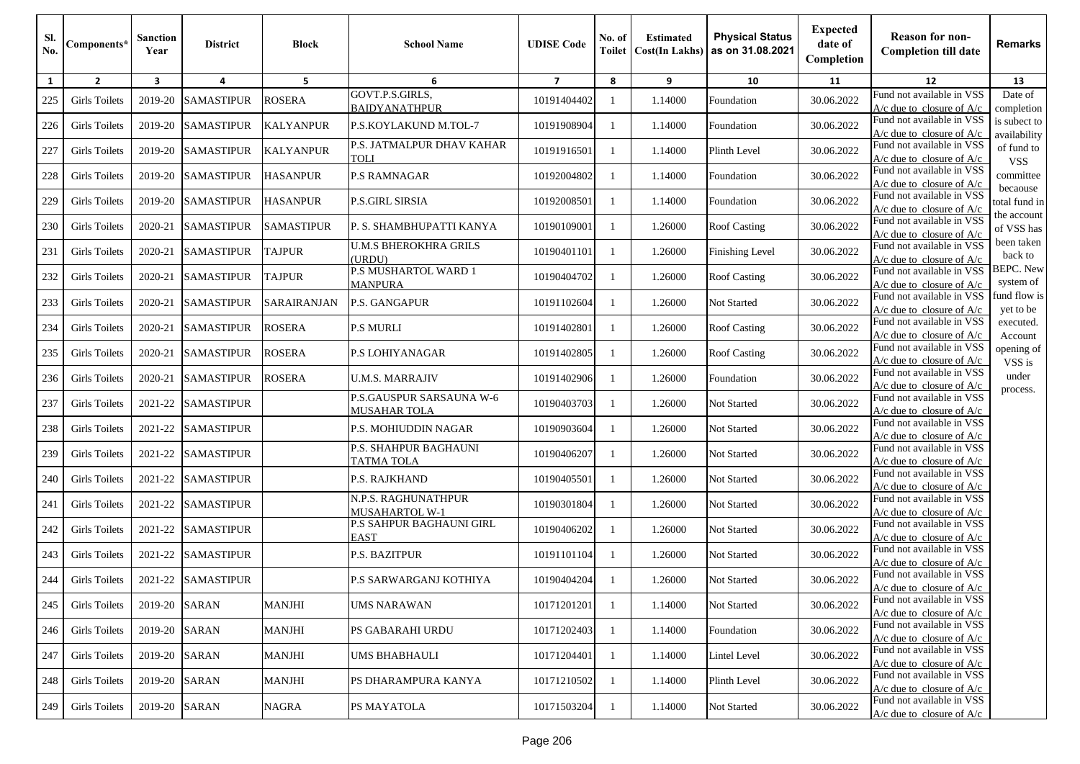| Sl.<br>No. | Components*          | <b>Sanction</b><br>Year | <b>District</b>   | <b>Block</b>      | <b>School Name</b>                                | <b>UDISE</b> Code | No. of<br>Toilet | <b>Estimated</b><br><b>Cost(In Lakhs)</b> | <b>Physical Status</b><br>as on 31.08.2021 | <b>Expected</b><br>date of<br>Completion | <b>Reason for non-</b><br><b>Completion till date</b>      | Remarks                       |
|------------|----------------------|-------------------------|-------------------|-------------------|---------------------------------------------------|-------------------|------------------|-------------------------------------------|--------------------------------------------|------------------------------------------|------------------------------------------------------------|-------------------------------|
| 1          | $\overline{2}$       | $\overline{\mathbf{3}}$ | 4                 | 5                 | 6                                                 | $\overline{7}$    | 8                | 9                                         | 10                                         | 11                                       | 12                                                         | 13                            |
| 225        | Girls Toilets        | 2019-20                 | <b>SAMASTIPUR</b> | <b>ROSERA</b>     | GOVT.P.S.GIRLS,<br><b>BAIDYANATHPUR</b>           | 10191404402       |                  | 1.14000                                   | Foundation                                 | 30.06.2022                               | Fund not available in VSS<br>$A/c$ due to closure of $A/c$ | Date of<br>completion         |
| 226        | <b>Girls Toilets</b> | 2019-20                 | <b>SAMASTIPUR</b> | <b>KALYANPUR</b>  | P.S.KOYLAKUND M.TOL-7                             | 10191908904       |                  | 1.14000                                   | Foundation                                 | 30.06.2022                               | Fund not available in VSS<br>$A/c$ due to closure of $A/c$ | is subect to<br>availability  |
| 227        | Girls Toilets        | 2019-20                 | <b>SAMASTIPUR</b> | <b>KALYANPUR</b>  | P.S. JATMALPUR DHAV KAHAR<br><b>LIOT</b>          | 10191916501       |                  | 1.14000                                   | Plinth Level                               | 30.06.2022                               | Fund not available in VSS<br>$A/c$ due to closure of $A/c$ | of fund to<br><b>VSS</b>      |
| 228        | Girls Toilets        | 2019-20                 | <b>SAMASTIPUR</b> | <b>HASANPUR</b>   | <b>P.S RAMNAGAR</b>                               | 10192004802       |                  | 1.14000                                   | Foundation                                 | 30.06.2022                               | Fund not available in VSS<br>$A/c$ due to closure of $A/c$ | committee                     |
| 229        | <b>Girls Toilets</b> | 2019-20                 | <b>SAMASTIPUR</b> | <b>HASANPUR</b>   | <b>P.S.GIRL SIRSIA</b>                            | 10192008501       |                  | 1.14000                                   | Foundation                                 | 30.06.2022                               | Fund not available in VSS<br>$A/c$ due to closure of $A/c$ | becaouse<br>total fund in     |
| 230        | <b>Girls Toilets</b> | 2020-21                 | <b>SAMASTIPUR</b> | <b>SAMASTIPUR</b> | P. S. SHAMBHUPATTI KANYA                          | 10190109001       |                  | 1.26000                                   | <b>Roof Casting</b>                        | 30.06.2022                               | Fund not available in VSS<br>A/c due to closure of A/c     | the account<br>of VSS has     |
| 231        | <b>Girls Toilets</b> | 2020-21                 | <b>SAMASTIPUR</b> | <b>TAJPUR</b>     | <b>U.M.S BHEROKHRA GRILS</b><br>(URDU)            | 10190401101       |                  | 1.26000                                   | <b>Finishing Level</b>                     | 30.06.2022                               | Fund not available in VSS<br>$A/c$ due to closure of $A/c$ | been taken<br>back to         |
| 232        | Girls Toilets        | 2020-21                 | <b>SAMASTIPUR</b> | <b>TAJPUR</b>     | P.S MUSHARTOL WARD 1<br><b>MANPURA</b>            | 10190404702       |                  | 1.26000                                   | <b>Roof Casting</b>                        | 30.06.2022                               | Fund not available in VSS<br>A/c due to closure of A/c     | <b>BEPC.</b> New<br>system of |
| 233        | <b>Girls Toilets</b> | 2020-21                 | <b>SAMASTIPUR</b> | SARAIRANJAN       | <b>P.S. GANGAPUR</b>                              | 10191102604       | -1               | 1.26000                                   | Not Started                                | 30.06.2022                               | Fund not available in VSS<br>A/c due to closure of $A/c$   | fund flow is<br>yet to be     |
| 234        | <b>Girls Toilets</b> | 2020-21                 | <b>SAMASTIPUR</b> | <b>ROSERA</b>     | <b>P.S MURLI</b>                                  | 10191402801       |                  | 1.26000                                   | <b>Roof Casting</b>                        | 30.06.2022                               | Fund not available in VSS<br>$A/c$ due to closure of $A/c$ | executed.<br>Account          |
| 235        | Girls Toilets        | 2020-21                 | <b>SAMASTIPUR</b> | <b>ROSERA</b>     | <b>P.S LOHIYANAGAR</b>                            | 10191402805       |                  | 1.26000                                   | <b>Roof Casting</b>                        | 30.06.2022                               | Fund not available in VSS<br>$A/c$ due to closure of $A/c$ | opening of<br>VSS is          |
| 236        | <b>Girls Toilets</b> | 2020-21                 | <b>SAMASTIPUR</b> | <b>ROSERA</b>     | <b>U.M.S. MARRAJIV</b>                            | 10191402906       |                  | 1.26000                                   | Foundation                                 | 30.06.2022                               | Fund not available in VSS<br>$A/c$ due to closure of $A/c$ | under<br>process.             |
| 237        | <b>Girls Toilets</b> | 2021-22                 | <b>SAMASTIPUR</b> |                   | P.S.GAUSPUR SARSAUNA W-6<br><b>MUSAHAR TOLA</b>   | 10190403703       |                  | 1.26000                                   | Not Started                                | 30.06.2022                               | Fund not available in VSS<br>$A/c$ due to closure of $A/c$ |                               |
| 238        | <b>Girls Toilets</b> | 2021-22                 | <b>SAMASTIPUR</b> |                   | P.S. MOHIUDDIN NAGAR                              | 10190903604       |                  | 1.26000                                   | Not Started                                | 30.06.2022                               | Fund not available in VSS<br>$A/c$ due to closure of $A/c$ |                               |
| 239        | Girls Toilets        | 2021-22                 | <b>SAMASTIPUR</b> |                   | <b>P.S. SHAHPUR BAGHAUNI</b><br><b>TATMA TOLA</b> | 10190406207       |                  | 1.26000                                   | Not Started                                | 30.06.2022                               | Fund not available in VSS<br>$A/c$ due to closure of $A/c$ |                               |
| 240        | <b>Girls Toilets</b> | 2021-22                 | <b>SAMASTIPUR</b> |                   | <b>P.S. RAJKHAND</b>                              | 10190405501       |                  | 1.26000                                   | Not Started                                | 30.06.2022                               | Fund not available in VSS<br>$A/c$ due to closure of $A/c$ |                               |
| 241        | <b>Girls Toilets</b> | 2021-22                 | <b>SAMASTIPUR</b> |                   | N.P.S. RAGHUNATHPUR<br><b>MUSAHARTOL W-1</b>      | 10190301804       |                  | 1.26000                                   | Not Started                                | 30.06.2022                               | Fund not available in VSS<br>$A/c$ due to closure of $A/c$ |                               |
| 242        | Girls Toilets        | 2021-22                 | <b>SAMASTIPUR</b> |                   | <b>P.S SAHPUR BAGHAUNI GIRL</b><br><b>EAST</b>    | 10190406202       |                  | 1.26000                                   | Not Started                                | 30.06.2022                               | Fund not available in VSS<br>$A/c$ due to closure of $A/c$ |                               |
| 243        | <b>Girls Toilets</b> | 2021-22                 | <b>SAMASTIPUR</b> |                   | <b>P.S. BAZITPUR</b>                              | 10191101104       |                  | 1.26000                                   | Not Started                                | 30.06.2022                               | Fund not available in VSS<br>$A/c$ due to closure of $A/c$ |                               |
| 244        | <b>Girls Toilets</b> | 2021-22                 | <b>SAMASTIPUR</b> |                   | P.S SARWARGANJ KOTHIYA                            | 10190404204       |                  | 1.26000                                   | Not Started                                | 30.06.2022                               | Fund not available in VSS<br>$A/c$ due to closure of $A/c$ |                               |
| 245        | <b>Girls Toilets</b> | 2019-20                 | <b>SARAN</b>      | <b>MANJHI</b>     | <b>UMS NARAWAN</b>                                | 10171201201       |                  | 1.14000                                   | Not Started                                | 30.06.2022                               | Fund not available in VSS<br>$A/c$ due to closure of $A/c$ |                               |
| 246        | <b>Girls Toilets</b> | 2019-20                 | <b>SARAN</b>      | <b>MANJHI</b>     | <b>PS GABARAHI URDU</b>                           | 10171202403       |                  | 1.14000                                   | Foundation                                 | 30.06.2022                               | Fund not available in VSS<br>$A/c$ due to closure of $A/c$ |                               |
| 247        | <b>Girls Toilets</b> | 2019-20                 | <b>SARAN</b>      | <b>MANJHI</b>     | UMS BHABHAULI                                     | 10171204401       | -1               | 1.14000                                   | Lintel Level                               | 30.06.2022                               | Fund not available in VSS<br>$A/c$ due to closure of $A/c$ |                               |
| 248        | <b>Girls Toilets</b> | 2019-20                 | <b>SARAN</b>      | <b>MANJHI</b>     | PS DHARAMPURA KANYA                               | 10171210502       |                  | 1.14000                                   | Plinth Level                               | 30.06.2022                               | Fund not available in VSS<br>$A/c$ due to closure of $A/c$ |                               |
| 249        | <b>Girls Toilets</b> | 2019-20                 | <b>SARAN</b>      | NAGRA             | PS MAYATOLA                                       | 10171503204       |                  | 1.14000                                   | Not Started                                | 30.06.2022                               | Fund not available in VSS<br>A/c due to closure of $A/c$   |                               |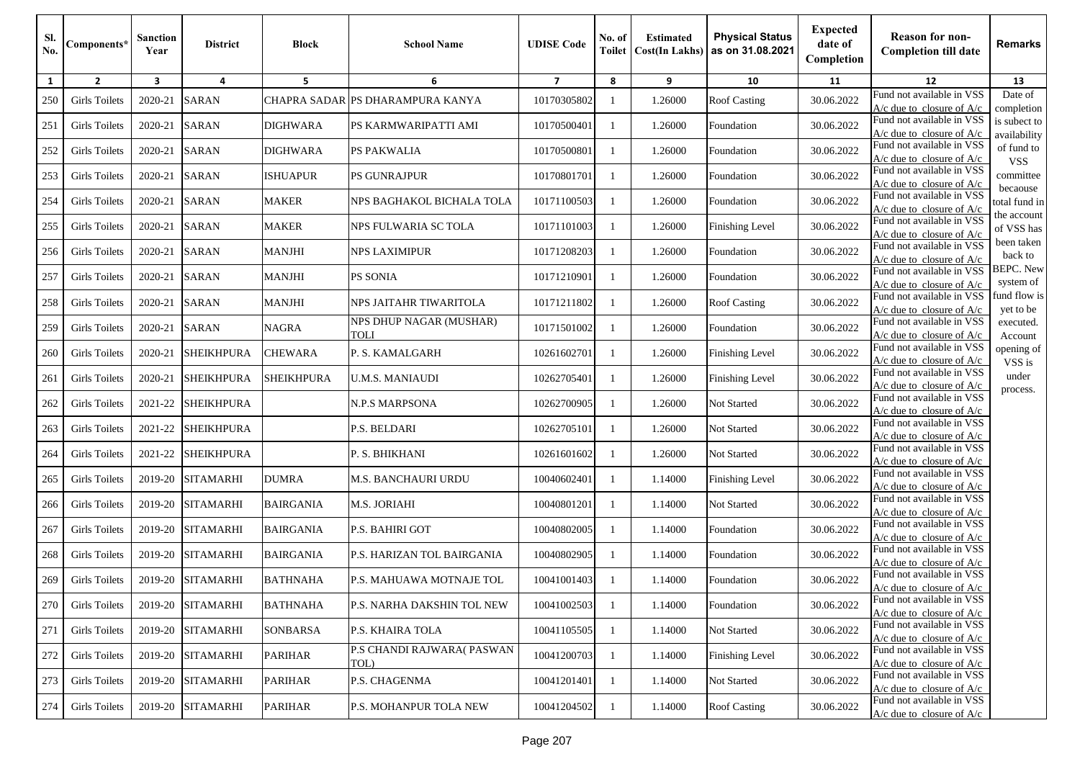| Sl.<br>No.   | Components*          | <b>Sanction</b><br>Year | <b>District</b>   | <b>Block</b>      | <b>School Name</b>                     | <b>UDISE Code</b> | No. of<br><b>Toilet</b> | <b>Estimated</b><br><b>Cost(In Lakhs)</b> | <b>Physical Status</b><br>as on 31.08.2021 | <b>Expected</b><br>date of<br>Completion | <b>Reason for non-</b><br><b>Completion till date</b>      | <b>Remarks</b>              |
|--------------|----------------------|-------------------------|-------------------|-------------------|----------------------------------------|-------------------|-------------------------|-------------------------------------------|--------------------------------------------|------------------------------------------|------------------------------------------------------------|-----------------------------|
| $\mathbf{1}$ | $\overline{2}$       | $\overline{\mathbf{3}}$ | 4                 | 5                 | 6                                      | $\overline{7}$    | 8                       | 9                                         | 10                                         | 11                                       | 12                                                         | 13                          |
| 250          | Girls Toilets        | 2020-21                 | <b>SARAN</b>      |                   | CHAPRA SADAR PS DHARAMPURA KANYA       | 10170305802       | -1                      | 1.26000                                   | <b>Roof Casting</b>                        | 30.06.2022                               | Fund not available in VSS                                  | Date of                     |
|              |                      |                         |                   |                   |                                        |                   |                         |                                           |                                            |                                          | $A/c$ due to closure of $A/c$<br>Fund not available in VSS | completion<br>is subect to  |
| 251          | <b>Girls Toilets</b> | 2020-21                 | <b>SARAN</b>      | <b>DIGHWARA</b>   | PS KARMWARIPATTI AMI                   | 10170500401       | -1                      | 1.26000                                   | Foundation                                 | 30.06.2022                               | $A/c$ due to closure of $A/c$                              | availability                |
| 252          | <b>Girls Toilets</b> | 2020-21                 | <b>SARAN</b>      | <b>DIGHWARA</b>   | <b>PS PAKWALIA</b>                     | 10170500801       | -1                      | 1.26000                                   | Foundation                                 | 30.06.2022                               | Fund not available in VSS<br>$A/c$ due to closure of $A/c$ | of fund to<br><b>VSS</b>    |
| 253          | <b>Girls Toilets</b> | 2020-21                 | <b>SARAN</b>      | <b>ISHUAPUR</b>   | PS GUNRAJPUR                           | 10170801701       |                         | 1.26000                                   | Foundation                                 | 30.06.2022                               | Fund not available in VSS<br>$A/c$ due to closure of $A/c$ | committee                   |
| 254          | <b>Girls Toilets</b> | 2020-21                 | <b>SARAN</b>      | <b>MAKER</b>      | NPS BAGHAKOL BICHALA TOLA              | 10171100503       | -1                      | 1.26000                                   | Foundation                                 | 30.06.2022                               | Fund not available in VSS                                  | becaouse<br>total fund in   |
|              |                      |                         |                   |                   |                                        |                   |                         |                                           |                                            |                                          | A/c due to closure of A/c<br>Fund not available in VSS     | the account                 |
| 255          | <b>Girls Toilets</b> | 2020-21                 | <b>SARAN</b>      | <b>MAKER</b>      | NPS FULWARIA SC TOLA                   | 10171101003       | -1                      | 1.26000                                   | Finishing Level                            | 30.06.2022                               | A/c due to closure of A/c                                  | of VSS has                  |
| 256          | <b>Girls Toilets</b> | 2020-21                 | <b>SARAN</b>      | <b>MANJHI</b>     | <b>NPS LAXIMIPUR</b>                   | 10171208203       | -1                      | 1.26000                                   | Foundation                                 | 30.06.2022                               | Fund not available in VSS                                  | been taken                  |
|              |                      |                         |                   |                   |                                        |                   |                         |                                           |                                            |                                          | A/c due to closure of $A/c$                                | back to<br><b>BEPC.</b> New |
| 257          | <b>Girls Toilets</b> | 2020-21                 | <b>SARAN</b>      | <b>MANJHI</b>     | <b>PS SONIA</b>                        | 10171210901       | -1                      | 1.26000                                   | Foundation                                 | 30.06.2022                               | Fund not available in VSS<br>$A/c$ due to closure of $A/c$ | system of                   |
| 258          | <b>Girls Toilets</b> | 2020-21                 | <b>SARAN</b>      | <b>MANJHI</b>     | NPS JAITAHR TIWARITOLA                 | 10171211802       | -1                      | 1.26000                                   | <b>Roof Casting</b>                        | 30.06.2022                               | Fund not available in VSS                                  | fund flow is                |
|              |                      |                         |                   |                   |                                        |                   |                         |                                           |                                            |                                          | $A/c$ due to closure of $A/c$                              | yet to be                   |
| 259          | <b>Girls Toilets</b> | 2020-21                 | <b>SARAN</b>      | <b>NAGRA</b>      | NPS DHUP NAGAR (MUSHAR)<br><b>LIOT</b> | 10171501002       | -1                      | 1.26000                                   | Foundation                                 | 30.06.2022                               | Fund not available in VSS<br>$A/c$ due to closure of $A/c$ | executed.<br>Account        |
| 260          | Girls Toilets        | 2020-21                 | <b>SHEIKHPURA</b> | <b>CHEWARA</b>    | P. S. KAMALGARH                        | 10261602701       | 1                       | 1.26000                                   | <b>Finishing Level</b>                     | 30.06.2022                               | Fund not available in VSS<br>$A/c$ due to closure of $A/c$ | opening of<br>VSS is        |
| 261          | <b>Girls Toilets</b> | 2020-21                 | <b>SHEIKHPURA</b> | <b>SHEIKHPURA</b> | U.M.S. MANIAUDI                        | 10262705401       | -1                      | 1.26000                                   | Finishing Level                            | 30.06.2022                               | Fund not available in VSS<br>$A/c$ due to closure of $A/c$ | under                       |
| 262          | <b>Girls Toilets</b> | 2021-22                 | <b>SHEIKHPURA</b> |                   | N.P.S MARPSONA                         | 10262700905       |                         | 1.26000                                   | Not Started                                | 30.06.2022                               | Fund not available in VSS                                  | process.                    |
|              |                      |                         |                   |                   |                                        |                   | -1                      |                                           |                                            |                                          | $A/c$ due to closure of $A/c$                              |                             |
| 263          | Girls Toilets        | 2021-22                 | <b>SHEIKHPURA</b> |                   | P.S. BELDARI                           | 10262705101       | -1                      | 1.26000                                   | Not Started                                | 30.06.2022                               | Fund not available in VSS<br>$A/c$ due to closure of $A/c$ |                             |
| 264          | Girls Toilets        | 2021-22                 | <b>SHEIKHPURA</b> |                   | P. S. BHIKHANI                         | 10261601602       | -1                      | 1.26000                                   | Not Started                                | 30.06.2022                               | Fund not available in VSS                                  |                             |
|              |                      |                         |                   |                   |                                        |                   |                         |                                           |                                            |                                          | $A/c$ due to closure of $A/c$<br>Fund not available in VSS |                             |
| 265          | <b>Girls Toilets</b> | 2019-20                 | <b>SITAMARHI</b>  | <b>DUMRA</b>      | M.S. BANCHAURI URDU                    | 10040602401       |                         | 1.14000                                   | Finishing Level                            | 30.06.2022                               | A/c due to closure of $A/c$                                |                             |
| 266          | Girls Toilets        | 2019-20                 | <b>SITAMARHI</b>  | <b>BAIRGANIA</b>  | <b>M.S. JORIAHI</b>                    | 10040801201       | -1                      | 1.14000                                   | Not Started                                | 30.06.2022                               | Fund not available in VSS<br>A/c due to closure of $A/c$   |                             |
| 267          | <b>Girls Toilets</b> | 2019-20                 | <b>SITAMARHI</b>  | <b>BAIRGANIA</b>  | P.S. BAHIRI GOT                        | 10040802005       | -1                      | 1.14000                                   | Foundation                                 | 30.06.2022                               | Fund not available in VSS<br>$A/c$ due to closure of $A/c$ |                             |
| 268          | <b>Girls Toilets</b> | 2019-20                 | <b>SITAMARHI</b>  | <b>BAIRGANIA</b>  | P.S. HARIZAN TOL BAIRGANIA             | 10040802905       | -1                      | 1.14000                                   | Foundation                                 | 30.06.2022                               | Fund not available in VSS<br>$A/c$ due to closure of $A/c$ |                             |
|              |                      |                         |                   |                   |                                        |                   |                         |                                           |                                            |                                          | Fund not available in VSS                                  |                             |
| 269          | <b>Girls Toilets</b> | 2019-20                 | <b>SITAMARHI</b>  | <b>BATHNAHA</b>   | P.S. MAHUAWA MOTNAJE TOL               | 10041001403       |                         | 1.14000                                   | Foundation                                 | 30.06.2022                               | $A/c$ due to closure of $A/c$                              |                             |
| 270          | <b>Girls Toilets</b> | 2019-20                 | <b>SITAMARHI</b>  | <b>BATHNAHA</b>   | P.S. NARHA DAKSHIN TOL NEW             | 10041002503       | -1                      | 1.14000                                   | Foundation                                 | 30.06.2022                               | Fund not available in VSS<br>$A/c$ due to closure of $A/c$ |                             |
|              |                      |                         |                   |                   |                                        |                   |                         |                                           |                                            |                                          | Fund not available in VSS                                  |                             |
| 271          | <b>Girls Toilets</b> | 2019-20                 | <b>SITAMARHI</b>  | <b>SONBARSA</b>   | <b>P.S. KHAIRA TOLA</b>                | 10041105505       | -1                      | 1.14000                                   | Not Started                                | 30.06.2022                               | A/c due to closure of A/c                                  |                             |
| 272          | <b>Girls Toilets</b> | 2019-20                 | <b>SITAMARHI</b>  | <b>PARIHAR</b>    | P.S CHANDI RAJWARA(PASWAN<br>TOL)      | 10041200703       | -1                      | 1.14000                                   | <b>Finishing Level</b>                     | 30.06.2022                               | Fund not available in VSS<br>$A/c$ due to closure of $A/c$ |                             |
| 273          | <b>Girls Toilets</b> | 2019-20                 | <b>SITAMARHI</b>  | <b>PARIHAR</b>    | P.S. CHAGENMA                          | 10041201401       | -1                      | 1.14000                                   | Not Started                                | 30.06.2022                               | Fund not available in VSS                                  |                             |
|              |                      |                         |                   |                   |                                        |                   |                         |                                           |                                            |                                          | $A/c$ due to closure of $A/c$                              |                             |
| 274          | <b>Girls Toilets</b> | 2019-20                 | <b>SITAMARHI</b>  | <b>PARIHAR</b>    | P.S. MOHANPUR TOLA NEW                 | 10041204502       | 1                       | 1.14000                                   | <b>Roof Casting</b>                        | 30.06.2022                               | Fund not available in VSS<br>A/c due to closure of $A/c$   |                             |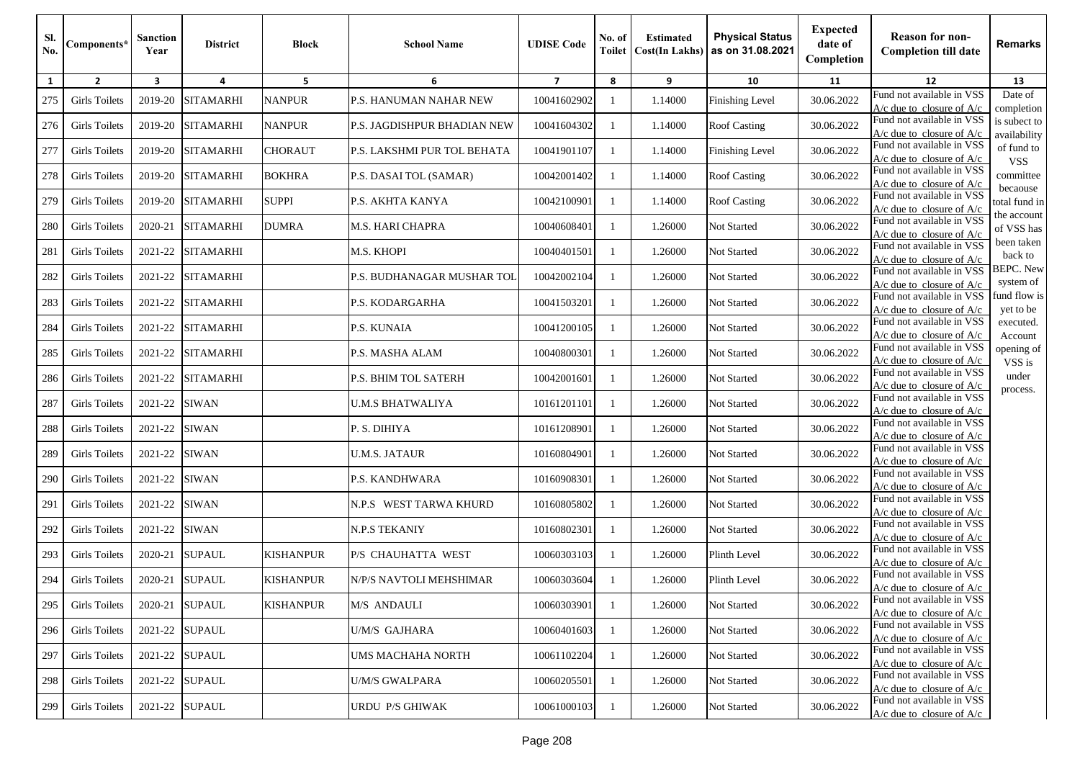| SI.<br>No. | Components*          | <b>Sanction</b><br>Year | <b>District</b>  | <b>Block</b>     | <b>School Name</b>            | <b>UDISE</b> Code | No. of<br>Toilet | <b>Estimated</b><br><b>Cost(In Lakhs)</b> | <b>Physical Status</b><br>as on 31.08.2021 | <b>Expected</b><br>date of<br>Completion | <b>Reason for non-</b><br><b>Completion till date</b>      | <b>Remarks</b>                |
|------------|----------------------|-------------------------|------------------|------------------|-------------------------------|-------------------|------------------|-------------------------------------------|--------------------------------------------|------------------------------------------|------------------------------------------------------------|-------------------------------|
| 1          | $\overline{2}$       | 3                       | 4                | 5                | 6                             | $\overline{7}$    | 8                | 9                                         | 10                                         | 11                                       | 12                                                         | 13                            |
| 275        | <b>Girls Toilets</b> | 2019-20                 | <b>SITAMARHI</b> | <b>NANPUR</b>    | <b>P.S. HANUMAN NAHAR NEW</b> | 10041602902       | -1               | 1.14000                                   | <b>Finishing Level</b>                     | 30.06.2022                               | Fund not available in VSS<br>$A/c$ due to closure of $A/c$ | Date of<br>completion         |
| 276        | <b>Girls Toilets</b> | 2019-20                 | <b>SITAMARHI</b> | <b>NANPUR</b>    | P.S. JAGDISHPUR BHADIAN NEW   | 10041604302       | -1               | 1.14000                                   | <b>Roof Casting</b>                        | 30.06.2022                               | Fund not available in VSS<br>A/c due to closure of $A/c$   | is subect to<br>availability  |
| 277        | Girls Toilets        | 2019-20                 | <b>SITAMARHI</b> | <b>CHORAUT</b>   | P.S. LAKSHMI PUR TOL BEHATA   | 10041901107       | -1               | 1.14000                                   | <b>Finishing Level</b>                     | 30.06.2022                               | Fund not available in VSS<br>$A/c$ due to closure of $A/c$ | of fund to<br><b>VSS</b>      |
| 278        | <b>Girls Toilets</b> | 2019-20                 | <b>SITAMARHI</b> | <b>BOKHRA</b>    | P.S. DASAI TOL (SAMAR)        | 10042001402       | -1               | 1.14000                                   | <b>Roof Casting</b>                        | 30.06.2022                               | Fund not available in VSS<br>$A/c$ due to closure of $A/c$ | committee                     |
| 279        | <b>Girls Toilets</b> | 2019-20                 | <b>SITAMARHI</b> | <b>SUPPI</b>     | P.S. AKHTA KANYA              | 10042100901       | -1               | 1.14000                                   | <b>Roof Casting</b>                        | 30.06.2022                               | Fund not available in VSS<br>A/c due to closure of A/c     | becaouse<br>total fund in     |
| 280        | <b>Girls Toilets</b> | 2020-21                 | <b>SITAMARHI</b> | <b>DUMRA</b>     | M.S. HARI CHAPRA              | 10040608401       |                  | 1.26000                                   | Not Started                                | 30.06.2022                               | Fund not available in VSS<br>A/c due to closure of A/c     | the account<br>of VSS has     |
| 281        | <b>Girls Toilets</b> | 2021-22                 | <b>SITAMARHI</b> |                  | M.S. KHOPI                    | 10040401501       | -1               | 1.26000                                   | Not Started                                | 30.06.2022                               | Fund not available in VSS<br>A/c due to closure of $A/c$   | been taken<br>back to         |
| 282        | <b>Girls Toilets</b> | 2021-22                 | <b>SITAMARHI</b> |                  | P.S. BUDHANAGAR MUSHAR TOL    | 10042002104       | -1               | 1.26000                                   | Not Started                                | 30.06.2022                               | Fund not available in VSS<br>$A/c$ due to closure of $A/c$ | <b>BEPC.</b> New<br>system of |
| 283        | <b>Girls Toilets</b> | 2021-22                 | <b>SITAMARHI</b> |                  | P.S. KODARGARHA               | 10041503201       | -1               | 1.26000                                   | Not Started                                | 30.06.2022                               | Fund not available in VSS<br>A/c due to closure of A/c     | fund flow is<br>yet to be     |
| 284        | <b>Girls Toilets</b> | 2021-22                 | <b>SITAMARHI</b> |                  | <b>P.S. KUNAIA</b>            | 10041200105       | -1               | 1.26000                                   | Not Started                                | 30.06.2022                               | Fund not available in VSS<br>$A/c$ due to closure of $A/c$ | executed.<br>Account          |
| 285        | Girls Toilets        | 2021-22                 | <b>SITAMARHI</b> |                  | P.S. MASHA ALAM               | 10040800301       |                  | 1.26000                                   | Not Started                                | 30.06.2022                               | Fund not available in VSS<br>$A/c$ due to closure of $A/c$ | opening of<br>VSS is          |
| 286        | <b>Girls Toilets</b> | 2021-22                 | <b>SITAMARHI</b> |                  | P.S. BHIM TOL SATERH          | 10042001601       | -1               | 1.26000                                   | Not Started                                | 30.06.2022                               | Fund not available in VSS<br>A/c due to closure of A/c     | under<br>process.             |
| 287        | <b>Girls Toilets</b> | 2021-22                 | <b>SIWAN</b>     |                  | U.M.S BHATWALIYA              | 10161201101       | -1               | 1.26000                                   | Not Started                                | 30.06.2022                               | Fund not available in VSS<br>$A/c$ due to closure of $A/c$ |                               |
| 288        | <b>Girls Toilets</b> | 2021-22                 | <b>SIWAN</b>     |                  | P. S. DIHIYA                  | 10161208901       | -1               | 1.26000                                   | Not Started                                | 30.06.2022                               | Fund not available in VSS<br>$A/c$ due to closure of $A/c$ |                               |
| 289        | <b>Girls Toilets</b> | 2021-22                 | <b>SIWAN</b>     |                  | <b>U.M.S. JATAUR</b>          | 10160804901       | -1               | 1.26000                                   | Not Started                                | 30.06.2022                               | Fund not available in VSS<br>$A/c$ due to closure of $A/c$ |                               |
| 290        | <b>Girls Toilets</b> | 2021-22                 | <b>SIWAN</b>     |                  | P.S. KANDHWARA                | 10160908301       | -1               | 1.26000                                   | Not Started                                | 30.06.2022                               | Fund not available in VSS<br>$A/c$ due to closure of $A/c$ |                               |
| 291        | <b>Girls Toilets</b> | 2021-22                 | <b>SIWAN</b>     |                  | N.P.S WEST TARWA KHURD        | 10160805802       |                  | 1.26000                                   | Not Started                                | 30.06.2022                               | Fund not available in VSS<br>$A/c$ due to closure of $A/c$ |                               |
| 292        | <b>Girls Toilets</b> | 2021-22                 | <b>SIWAN</b>     |                  | <b>N.P.S TEKANIY</b>          | 10160802301       | $\mathbf{1}$     | 1.26000                                   | <b>Not Started</b>                         | 30.06.2022                               | Fund not available in VSS<br>$A/c$ due to closure of $A/c$ |                               |
| 293        | <b>Girls Toilets</b> | 2020-21                 | <b>SUPAUL</b>    | <b>KISHANPUR</b> | P/S CHAUHATTA WEST            | 10060303103       | -1               | 1.26000                                   | Plinth Level                               | 30.06.2022                               | Fund not available in VSS<br>$A/c$ due to closure of $A/c$ |                               |
| 294        | <b>Girls Toilets</b> | 2020-21                 | <b>SUPAUL</b>    | <b>KISHANPUR</b> | N/P/S NAVTOLI MEHSHIMAR       | 10060303604       |                  | 1.26000                                   | Plinth Level                               | 30.06.2022                               | Fund not available in VSS<br>$A/c$ due to closure of $A/c$ |                               |
| 295        | <b>Girls Toilets</b> | 2020-21                 | <b>SUPAUL</b>    | <b>KISHANPUR</b> | M/S ANDAULI                   | 10060303901       | 1                | 1.26000                                   | Not Started                                | 30.06.2022                               | Fund not available in VSS<br>$A/c$ due to closure of $A/c$ |                               |
| 296        | <b>Girls Toilets</b> | 2021-22                 | <b>SUPAUL</b>    |                  | U/M/S GAJHARA                 | 10060401603       | -1               | 1.26000                                   | Not Started                                | 30.06.2022                               | Fund not available in VSS<br>$A/c$ due to closure of $A/c$ |                               |
| 297        | <b>Girls Toilets</b> | 2021-22                 | <b>SUPAUL</b>    |                  | UMS MACHAHA NORTH             | 10061102204       | -1               | 1.26000                                   | Not Started                                | 30.06.2022                               | Fund not available in VSS<br>$A/c$ due to closure of $A/c$ |                               |
| 298        | <b>Girls Toilets</b> | 2021-22                 | <b>SUPAUL</b>    |                  | <b>U/M/S GWALPARA</b>         | 10060205501       | -1               | 1.26000                                   | Not Started                                | 30.06.2022                               | Fund not available in VSS<br>A/c due to closure of $A/c$   |                               |
| 299        | <b>Girls Toilets</b> | 2021-22                 | <b>SUPAUL</b>    |                  | URDU P/S GHIWAK               | 10061000103       | -1               | 1.26000                                   | Not Started                                | 30.06.2022                               | Fund not available in VSS<br>$A/c$ due to closure of $A/c$ |                               |